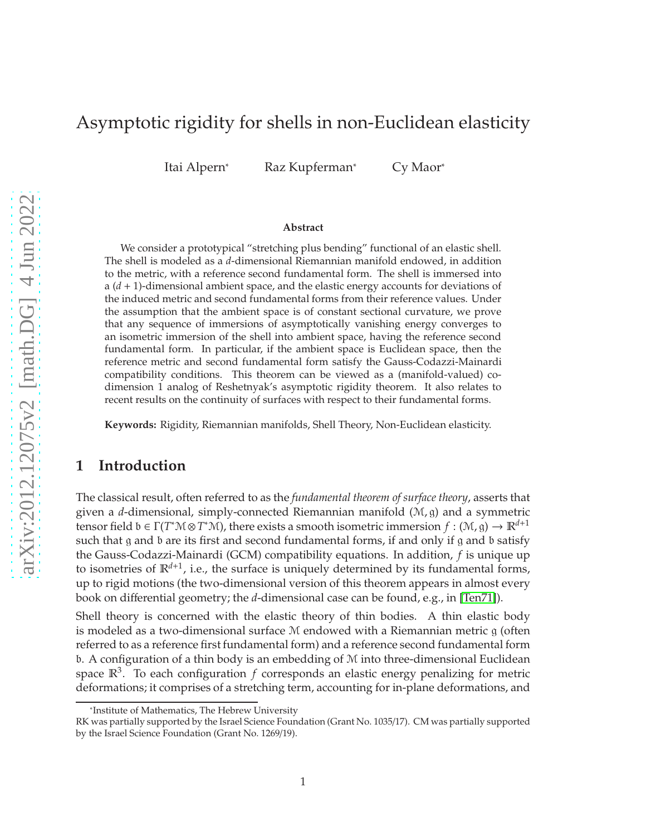# <span id="page-0-0"></span>Asymptotic rigidity for shells in non-Euclidean elasticity

Itai Alpern<sup>\*</sup> Raz Kupferman<sup>\*</sup> Cy Maor<sup>\*</sup>

#### **Abstract**

We consider a prototypical "stretching plus bending" functional of an elastic shell. The shell is modeled as a *d*-dimensional Riemannian manifold endowed, in addition to the metric, with a reference second fundamental form. The shell is immersed into a (*d* + 1)-dimensional ambient space, and the elastic energy accounts for deviations of the induced metric and second fundamental forms from their reference values. Under the assumption that the ambient space is of constant sectional curvature, we prove that any sequence of immersions of asymptotically vanishing energy converges to an isometric immersion of the shell into ambient space, having the reference second fundamental form. In particular, if the ambient space is Euclidean space, then the reference metric and second fundamental form satisfy the Gauss-Codazzi-Mainardi compatibility conditions. This theorem can be viewed as a (manifold-valued) codimension 1 analog of Reshetnyak's asymptotic rigidity theorem. It also relates to recent results on the continuity of surfaces with respect to their fundamental forms.

**Keywords:** Rigidity, Riemannian manifolds, Shell Theory, Non-Euclidean elasticity.

## **1 Introduction**

The classical result, often referred to as the *fundamental theorem of surface theory*, asserts that given a *d*-dimensional, simply-connected Riemannian manifold (M, g) and a symmetric tensor field  $b \in \Gamma(T^*M \otimes T^*\mathcal{M})$ , there exists a smooth isometric immersion  $f : (\mathcal{M}, g) \to \mathbb{R}^{d+1}$ such that g and b are its first and second fundamental forms, if and only if g and b satisfy the Gauss-Codazzi-Mainardi (GCM) compatibility equations. In addition, *f* is unique up to isometries of R*d*+<sup>1</sup> , i.e., the surface is uniquely determined by its fundamental forms, up to rigid motions (the two-dimensional version of this theorem appears in almost every book on differential geometry; the *d*-dimensional case can be found, e.g., in [\[Ten71\]](#page-31-0)).

Shell theory is concerned with the elastic theory of thin bodies. A thin elastic body is modeled as a two-dimensional surface  $M$  endowed with a Riemannian metric  $g$  (often referred to as a reference first fundamental form) and a reference second fundamental form b. A configuration of a thin body is an embedding of M into three-dimensional Euclidean space  $\mathbb{R}^3$ . To each configuration f corresponds an elastic energy penalizing for metric deformations; it comprises of a stretching term, accounting for in-plane deformations, and

<sup>\*</sup>Institute of Mathematics, The Hebrew University

RK was partially supported by the Israel Science Foundation (Grant No. 1035/17). CM was partially supported by the Israel Science Foundation (Grant No. 1269/19).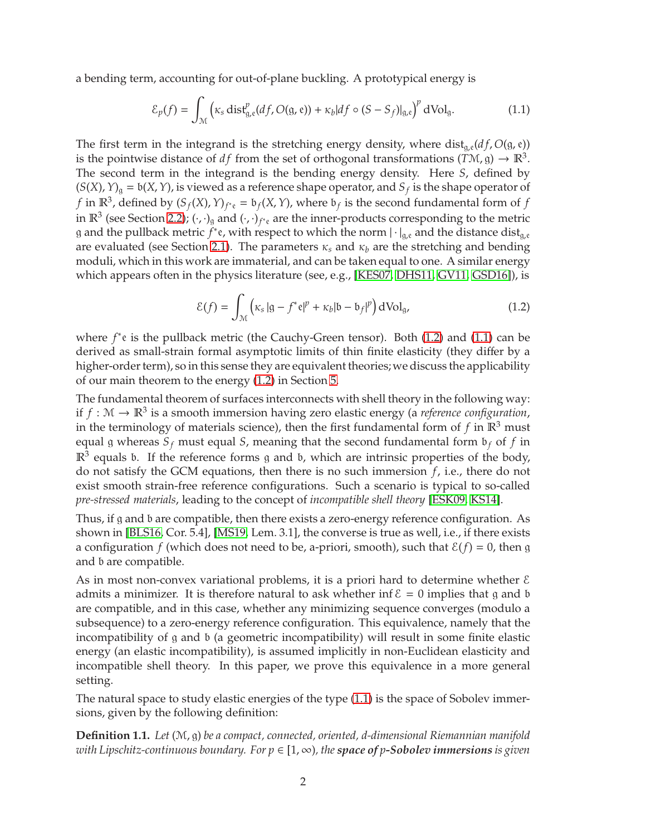a bending term, accounting for out-of-plane buckling. A prototypical energy is

<span id="page-1-3"></span><span id="page-1-1"></span>
$$
\mathcal{E}_p(f) = \int_{\mathcal{M}} \left( \kappa_s \operatorname{dist}_{g,e}^p(df, O(g,e)) + \kappa_b |df \circ (S - S_f)|_{g,e} \right)^p dVol_g. \tag{1.1}
$$

The first term in the integrand is the stretching energy density, where  $dist_{q,e}(df, O(g, e))$ is the pointwise distance of *df* from the set of orthogonal transformations  $(T\mathcal{M}, g) \to \mathbb{R}^3$ . The second term in the integrand is the bending energy density. Here *S*, defined by  $(S(X), Y)_{g} = b(X, Y)$ , is viewed as a reference shape operator, and  $S_f$  is the shape operator of *f* in  $\mathbb{R}^3$ , defined by  $(S_f(X), Y)_{f^*e} = b_f(X, Y)$ , where  $b_f$  is the second fundamental form of *f* in  $\mathbb{R}^3$  (see Section [2.2\)](#page-6-0);  $(\cdot,\cdot)_g$  and  $(\cdot,\cdot)_{f^*e}$  are the inner-products corresponding to the metric g and the pullback metric  $f^*$ e, with respect to which the norm  $|\cdot|_{g,e}$  and the distance dist<sub>g,e</sub> are evaluated (see Section [2.1\)](#page-5-0). The parameters  $\kappa_s$  and  $\kappa_b$  are the stretching and bending moduli, which in this work are immaterial, and can be taken equal to one. A similar energy which appears often in the physics literature (see, e.g., [\[KES07,](#page-31-1) [DHS11,](#page-31-2) [GV11,](#page-31-3) [GSD16\]](#page-31-4)), is

<span id="page-1-0"></span>
$$
\mathcal{E}(f) = \int_{\mathcal{M}} \left( \kappa_s \left| \mathfrak{g} - f^* \mathfrak{e} \right|^p + \kappa_b \left| \mathfrak{b} - \mathfrak{b}_f \right|^p \right) dVol_g,
$$
\n(1.2)

where *f*<sup>\*</sup>e is the pullback metric (the Cauchy-Green tensor). Both [\(1.2\)](#page-1-0) and [\(1.1\)](#page-1-1) can be derived as small-strain formal asymptotic limits of thin finite elasticity (they differ by a higher-order term), so in this sense they are equivalent theories; we discuss the applicability of our main theorem to the energy [\(1.2\)](#page-1-0) in Section [5.](#page-23-0)

The fundamental theorem of surfaces interconnects with shell theory in the following way: if  $f: \mathcal{M} \to \mathbb{R}^3$  is a smooth immersion having zero elastic energy (a *reference configuration*, in the terminology of materials science), then the first fundamental form of  $f$  in  $\mathbb{R}^3$  must equal g whereas  $S_f$  must equal *S*, meaning that the second fundamental form  $\mathfrak{b}_f$  of *f* in  $\mathbb{R}^3$  equals b. If the reference forms g and b, which are intrinsic properties of the body, do not satisfy the GCM equations, then there is no such immersion *f*, i.e., there do not exist smooth strain-free reference configurations. Such a scenario is typical to so-called *pre-stressed materials*, leading to the concept of *incompatible shell theory* [\[ESK09,](#page-31-5) [KS14\]](#page-31-6).

Thus, if g and b are compatible, then there exists a zero-energy reference configuration. As shown in [\[BLS16,](#page-30-0) Cor. 5.4], [\[MS19,](#page-31-7) Lem. 3.1], the converse is true as well, i.e., if there exists a configuration *f* (which does not need to be, a-priori, smooth), such that  $\mathcal{E}(f) = 0$ , then g and b are compatible.

As in most non-convex variational problems, it is a priori hard to determine whether  $\epsilon$ admits a minimizer. It is therefore natural to ask whether inf  $\mathcal{E} = 0$  implies that g and b are compatible, and in this case, whether any minimizing sequence converges (modulo a subsequence) to a zero-energy reference configuration. This equivalence, namely that the incompatibility of g and b (a geometric incompatibility) will result in some finite elastic energy (an elastic incompatibility), is assumed implicitly in non-Euclidean elasticity and incompatible shell theory. In this paper, we prove this equivalence in a more general setting.

The natural space to study elastic energies of the type [\(1.1\)](#page-1-1) is the space of Sobolev immersions, given by the following definition:

<span id="page-1-2"></span>**Definition 1.1.** *Let* (M, g) *be a compact, connected, oriented, d-dimensional Riemannian manifold with Lipschitz-continuous boundary. For*  $p \in [1, \infty)$ *, the space of p-Sobolev immersions is given*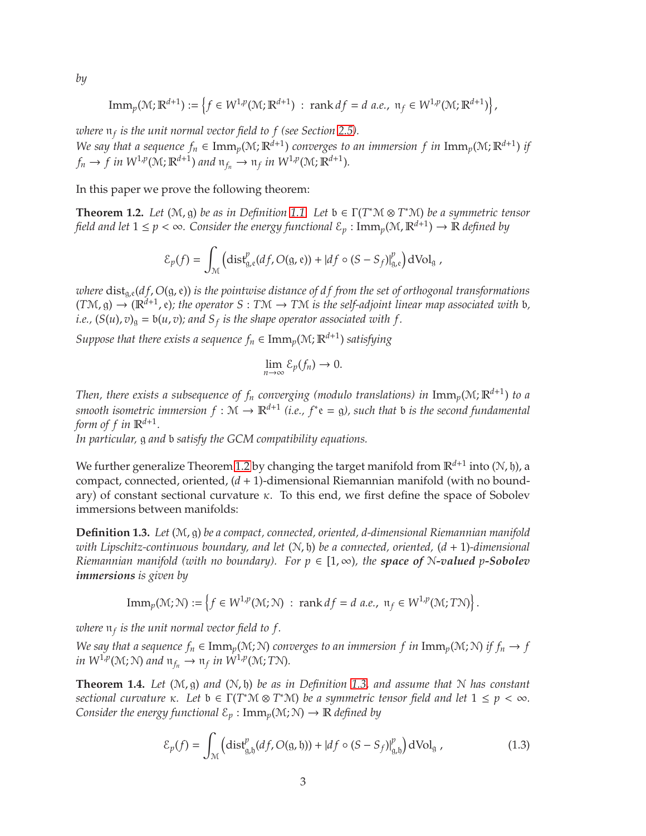*by*

$$
\mathrm{Imm}_p(\mathcal{M}; \mathbb{R}^{d+1}) := \left\{ f \in W^{1,p}(\mathcal{M}; \mathbb{R}^{d+1}) \; : \; \mathrm{rank} \, df = d \, a.e., \; \mathfrak{n}_f \in W^{1,p}(\mathcal{M}; \mathbb{R}^{d+1}) \right\},
$$

*where* n*<sup>f</sup> is the unit normal vector field to f (see Section [2.5\)](#page-8-0).*

*We say that a sequence*  $f_n \in \text{Imm}_p(\mathcal{M}; \mathbb{R}^{d+1})$  *converges to an immersion*  $f$  *in*  $\text{Imm}_p(\mathcal{M}; \mathbb{R}^{d+1})$  *if*  $f_n \to f$  in  $W^{1,p}(\mathcal{M}; \mathbb{R}^{d+1})$  and  $\mathfrak{n}_{f_n} \to \mathfrak{n}_f$  in  $W^{1,p}(\mathcal{M}; \mathbb{R}^{d+1})$ *.* 

In this paper we prove the following theorem:

<span id="page-2-0"></span>**Theorem 1.2.** *Let*  $(M, g)$  *be as in Definition* [1.1.](#page-1-2) *Let*  $b \in \Gamma(T^*M \otimes T^*M)$  *be a symmetric tensor field and let*  $1 \leq p < \infty$ . Consider the energy functional  $\mathcal{E}_p: {\rm Imm}_p(\mathcal{M}, \mathbb{R}^{d+1}) \to \mathbb{R}$  defined by

$$
\mathcal{E}_p(f) = \int_{\mathcal{M}} \left( \mathrm{dist}_{g,e}^p(df, O(g,e)) + |df \circ (S - S_f)|_{g,e}^p \right) dVol_g,
$$

*where*  $dist_{a,e}(df, O(g, e))$  *is the pointwise distance of df from the set of orthogonal transformations*  $(TM, g) \to (\mathbb{R}^{d+1}, e)$ ; the operator S :  $T M \to T M$  is the self-adjoint linear map associated with b, *i.e.,*  $(S(u), v)_{g} = b(u, v)$ ; and  $S_f$  is the shape operator associated with f.

*Suppose that there exists a sequence*  $f_n \in \text{Imm}_p(\mathcal{M}; \mathbb{R}^{d+1})$  *satisfying* 

$$
\lim_{n\to\infty}\mathcal{E}_p(f_n)\to 0.
$$

*Then, there exists a subsequence of*  $f_n$  *converging (modulo translations) in*  $\mathrm{Imm}_p(\mathcal{M}; \mathbb{R}^{d+1})$  *to a smooth isometric immersion*  $f : \mathcal{M} \to \mathbb{R}^{d+1}$  (*i.e.,*  $f^*e = g$ *), such that b is the second fundamental* form of  $f$  in  $\mathbb{R}^{d+1}$ .

*In particular,* g *and* b *satisfy the GCM compatibility equations.*

We further generalize Theorem [1.2](#page-2-0) by changing the target manifold from  $\mathbb{R}^{d+1}$  into (N, ḫ), a compact, connected, oriented, (*d* + 1)-dimensional Riemannian manifold (with no boundary) of constant sectional curvature  $\kappa$ . To this end, we first define the space of Sobolev immersions between manifolds:

<span id="page-2-1"></span>**Definition 1.3.** *Let* (M, g) *be a compact, connected, oriented, d-dimensional Riemannian manifold with Lipschitz-continuous boundary, and let* (N, h) *be a connected, oriented,* (*d* + 1)*-dimensional Riemannian manifold (with no boundary). For*  $p \in [1, \infty)$ *, the space of N-valued p-Sobolev immersions is given by*

$$
\mathrm{Imm}_p(\mathcal{M}; \mathcal{N}) := \left\{ f \in W^{1,p}(\mathcal{M}; \mathcal{N}) \; : \; \mathrm{rank} \, df = d \, \, a.e., \, \, \mathfrak{n}_f \in W^{1,p}(\mathcal{M}; T\mathcal{N}) \right\}.
$$

*where* n*<sup>f</sup> is the unit normal vector field to f .*

*We say that a sequence*  $f_n \in \text{Imm}_p(\mathcal{M}; \mathcal{N})$  *converges to an immersion*  $f$  *in*  $\text{Imm}_p(\mathcal{M}; \mathcal{N})$  *if*  $f_n \to f$ *in*  $W^{1,p}(M;N)$  and  $\mathfrak{n}_{f_n} \to \mathfrak{n}_f$  *in*  $W^{1,p}(M;TN)$ *.* 

<span id="page-2-2"></span>**Theorem 1.4.** *Let*  $(\mathcal{M}, \mathfrak{g})$  *and*  $(\mathcal{N}, \mathfrak{h})$  *be as in Definition* [1.3,](#page-2-1) *and assume that*  $\mathcal{N}$  *has constant sectional curvature*  $\kappa$ *. Let*  $b \in \Gamma(T^*\mathcal{M} \otimes T^*\mathcal{M})$  *be a symmetric tensor field and let*  $1 \leq p < \infty$ *. Consider the energy functional*  $\mathcal{E}_p$  : Imm<sub>*p*</sub>(M; N)  $\rightarrow \mathbb{R}$  *defined by* 

<span id="page-2-3"></span>
$$
\mathcal{E}_p(f) = \int_{\mathcal{M}} \left( \text{dist}_{g,\mathfrak{h}}^p(df, O(g, \mathfrak{h})) + |df \circ (S - S_f)|_{g,\mathfrak{h}}^p \right) dVol_g , \qquad (1.3)
$$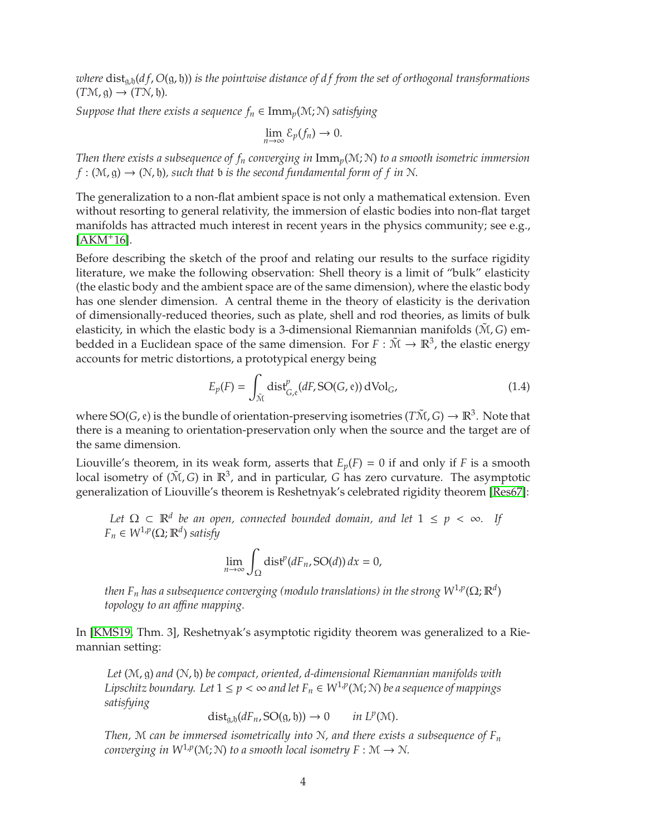<span id="page-3-0"></span>*where* dist<sub>a,h</sub>( $df$ ,  $O(g, h)$ ) *is the pointwise distance of df from the set of orthogonal transformations*  $(T\mathcal{M}, \mathfrak{g}) \rightarrow (T\mathcal{N}, \mathfrak{h}).$ 

*Suppose that there exists a sequence*  $f_n \in \text{Imm}_p(\mathcal{M}; \mathcal{N})$  *satisfying* 

$$
\lim_{n\to\infty}\mathcal{E}_p(f_n)\to 0.
$$

*Then there exists a subsequence of f<sup>n</sup> converging in* Imm*p*(M; N) *to a smooth isometric immersion*  $f : (M, g) \rightarrow (N, b)$ , such that *b* is the second fundamental form of *f* in *N*.

The generalization to a non-flat ambient space is not only a mathematical extension. Even without resorting to general relativity, the immersion of elastic bodies into non-flat target manifolds has attracted much interest in recent years in the physics community; see e.g.,  $[AKM+16]$  $[AKM+16]$ .

Before describing the sketch of the proof and relating our results to the surface rigidity literature, we make the following observation: Shell theory is a limit of "bulk" elasticity (the elastic body and the ambient space are of the same dimension), where the elastic body has one slender dimension. A central theme in the theory of elasticity is the derivation of dimensionally-reduced theories, such as plate, shell and rod theories, as limits of bulk elasticity, in which the elastic body is a 3-dimensional Riemannian manifolds  $(\tilde{M}, G)$  embedded in a Euclidean space of the same dimension. For  $F : \tilde{M} \to \mathbb{R}^3$ , the elastic energy accounts for metric distortions, a prototypical energy being

$$
E_p(F) = \int_{\tilde{\mathcal{M}}} \text{dist}_{G,\text{e}}^p(dF, \text{SO}(G,\text{e})) \, d\text{Vol}_G,\tag{1.4}
$$

where  $SO(G, \mathfrak{e})$  is the bundle of orientation-preserving isometries  $(T\tilde{M}, G) \to \mathbb{R}^3$ . Note that there is a meaning to orientation-preservation only when the source and the target are of the same dimension.

Liouville's theorem, in its weak form, asserts that  $E_p(F) = 0$  if and only if *F* is a smooth local isometry of ( $\tilde{M}$ , *G*) in  $\mathbb{R}^3$ , and in particular, *G* has zero curvature. The asymptotic generalization of Liouville's theorem is Reshetnyak's celebrated rigidity theorem [\[Res67\]](#page-31-8):

*Let*  $Ω ⊂ ℝ<sup>d</sup>$  *be an open, connected bounded domain, and let*  $1 ≤ p < ∞$ *. If*  $F_n \in W^{1,p}(\Omega;\mathbb{R}^d)$  *satisfy* 

$$
\lim_{n\to\infty}\int_{\Omega}\mathrm{dist}^p(dF_n,\mathrm{SO}(d))\,dx=0,
$$

then F<sub>n</sub> has a subsequence converging (modulo translations) in the strong  $W^{1,p}(\Omega;\mathbb{R}^d)$ *topology to an a*ffi*ne mapping.*

In [\[KMS19,](#page-31-9) Thm. 3], Reshetnyak's asymptotic rigidity theorem was generalized to a Riemannian setting:

*Let* (M, g) *and* (N, h) *be compact, oriented, d-dimensional Riemannian manifolds with Lipschitz boundary.* Let  $1 \le p < \infty$  and let  $F_n \in W^{1,p}(\mathcal{M}; \mathcal{N})$  be a sequence of mappings *satisfying*

$$
\text{dist}_{g,b}(dF_n, \text{SO}(g, \mathfrak{h})) \to 0 \quad in \, L^p(\mathcal{M}).
$$

*Then,* M *can be immersed isometrically into* N*, and there exists a subsequence of F<sup>n</sup> converging in*  $W^{1,p}(\mathcal{M}; \mathcal{N})$  *to a smooth local isometry*  $F : \mathcal{M} \to \mathcal{N}$ *.*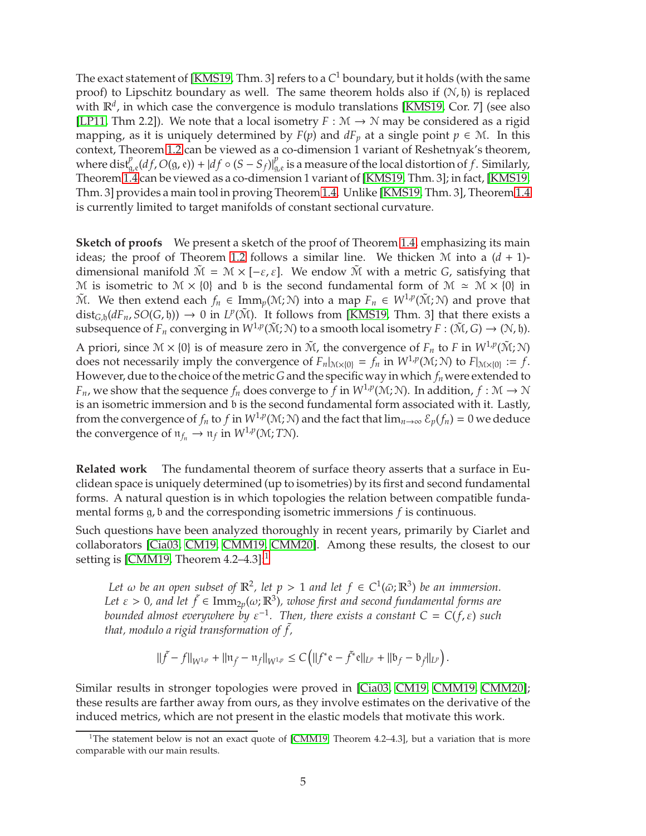<span id="page-4-1"></span>The exact statement of [\[KMS19,](#page-31-9) Thm. 3] refers to a *C* <sup>1</sup> boundary, but it holds (with the same proof) to Lipschitz boundary as well. The same theorem holds also if  $(N, \mathfrak{h})$  is replaced with  $\mathbb{R}^d$ , in which case the convergence is modulo translations [\[KMS19,](#page-31-9) Cor. 7] (see also [\[LP11,](#page-31-10) Thm 2.2]). We note that a local isometry  $F : \mathcal{M} \to \mathcal{N}$  may be considered as a rigid mapping, as it is uniquely determined by  $F(p)$  and  $dF_p$  at a single point  $p \in \mathcal{M}$ . In this context, Theorem [1.2](#page-2-0) can be viewed as a co-dimension 1 variant of Reshetnyak's theorem, where  $dist_{g,e}^p(df, O(g,e)) + |df \circ (S - S_f)|_g^p$  $_{g,e}^{\rho}$  is a measure of the local distortion of  $f$ . Similarly, Theorem [1.4](#page-2-2) can be viewed as a co-dimension 1 variant of [\[KMS19,](#page-31-9) Thm. 3]; in fact, [\[KMS19,](#page-31-9) Thm. 3] provides a main tool in proving Theorem [1.4.](#page-2-2) Unlike [\[KMS19,](#page-31-9) Thm. 3], Theorem [1.4](#page-2-2) is currently limited to target manifolds of constant sectional curvature.

**Sketch of proofs** We present a sketch of the proof of Theorem [1.4,](#page-2-2) emphasizing its main ideas; the proof of Theorem [1.2](#page-2-0) follows a similar line. We thicken  $M$  into a  $(d + 1)$ dimensional manifold  $\tilde{M} = M \times [-\varepsilon, \varepsilon]$ . We endow  $\tilde{M}$  with a metric *G*, satisfying that M is isometric to  $M \times \{0\}$  and b is the second fundamental form of  $M \simeq M \times \{0\}$  in  $\tilde{M}$ . We then extend each  $f_n \in \text{Imm}_p(\mathcal{M}; \mathcal{N})$  into a map  $F_n \in W^{1,p}(\tilde{\mathcal{M}}; \mathcal{N})$  and prove that dist<sub>*G*,h</sub>( $dF_n$ , *SO*(*G*, h))  $\rightarrow$  0 in *L<sup>p</sup>*( $\tilde{M}$ ). It follows from [\[KMS19,](#page-31-9) Thm. 3] that there exists a subsequence of  $F_n$  converging in  $W^{1,p}(\tilde{M};N)$  to a smooth local isometry  $F : (\tilde{M}, G) \to (N, \mathfrak{h})$ .

A priori, since  $\mathcal{M} \times \{0\}$  is of measure zero in  $\tilde{\mathcal{M}}$ , the convergence of  $F_n$  to  $F$  in  $W^{1,p}(\tilde{\mathcal{M}}; \mathcal{N})$ does not necessarily imply the convergence of  $F_n|_{M\times{0}} = f_n$  in  $W^{1,p}(M;N)$  to  $F|_{M\times{0}} := f$ . However, due to the choice of the metric *G* and the specific way in which  $f_n$  were extended to *F*<sub>*n*</sub>, we show that the sequence  $f_n$  does converge to  $f$  in  $W^{1,p}(M; N)$ . In addition,  $f : M \to N$ is an isometric immersion and b is the second fundamental form associated with it. Lastly, from the convergence of  $f_n$  to  $f$  in  $W^{1,p}(M;N)$  and the fact that  $\lim_{n\to\infty} \mathcal{E}_p(f_n) = 0$  we deduce the convergence of  $\mathfrak{n}_{f_n} \to \mathfrak{n}_f$  in  $W^{1,p}(\mathcal{M};T\mathcal{N})$ .

**Related work** The fundamental theorem of surface theory asserts that a surface in Euclidean space is uniquely determined (up to isometries) by its first and second fundamental forms. A natural question is in which topologies the relation between compatible fundamental forms g, b and the corresponding isometric immersions *f* is continuous.

Such questions have been analyzed thoroughly in recent years, primarily by Ciarlet and collaborators [\[Cia03,](#page-30-2) [CM19,](#page-30-3) [CMM19,](#page-30-4) [CMM20\]](#page-30-5). Among these results, the closest to our setting is [\[CMM19,](#page-30-4) Theorem  $4.2-4.3$ ]:<sup>[1](#page-4-0)</sup>

*Let*  $\omega$  *be an open subset of*  $\mathbb{R}^2$ , *let*  $p > 1$  *and let*  $f \in C^1(\bar{\omega}; \mathbb{R}^3)$  *be an immersion.* Let  $\varepsilon > 0$ , and let  $\tilde{f} \in \text{Imm}_{2p}(\omega; \mathbb{R}^3)$ , whose first and second fundamental forms are *bounded almost everywhere by*  $\varepsilon^{-1}$ *. Then, there exists a constant C = C(f,*  $\varepsilon$ *) such that, modulo a rigid transformation of* ˜ *f ,*

$$
\|\tilde{f} - f\|_{W^{1,p}} + \|\mathfrak{n}_{\tilde{f}} - \mathfrak{n}_f\|_{W^{1,p}} \leq C\left(\|f^*e - \tilde{f}^*e\|_{L^p} + \|b_f - b_{\tilde{f}}\|_{L^p}\right).
$$

Similar results in stronger topologies were proved in [\[Cia03,](#page-30-2) [CM19,](#page-30-3) [CMM19,](#page-30-4) [CMM20\]](#page-30-5); these results are farther away from ours, as they involve estimates on the derivative of the induced metrics, which are not present in the elastic models that motivate this work.

<span id="page-4-0"></span><sup>&</sup>lt;sup>1</sup>The statement below is not an exact quote of [\[CMM19,](#page-30-4) Theorem 4.2–4.3], but a variation that is more comparable with our main results.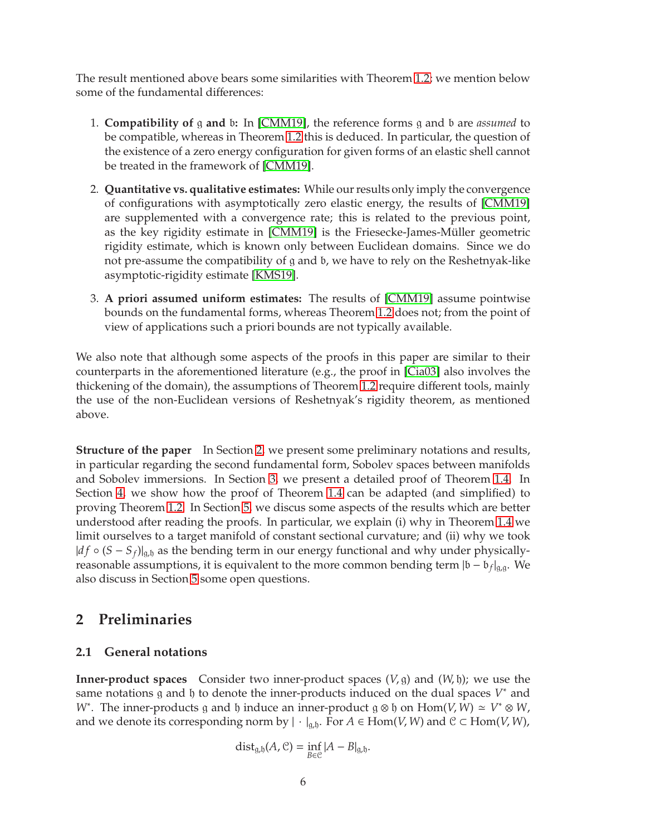<span id="page-5-2"></span>The result mentioned above bears some similarities with Theorem [1.2;](#page-2-0) we mention below some of the fundamental differences:

- 1. **Compatibility of** g **and** b**:** In [\[CMM19\]](#page-30-4), the reference forms g and b are *assumed* to be compatible, whereas in Theorem [1.2](#page-2-0) this is deduced. In particular, the question of the existence of a zero energy configuration for given forms of an elastic shell cannot be treated in the framework of [\[CMM19\]](#page-30-4).
- 2. **Quantitative vs. qualitative estimates:** While our results only imply the convergence of configurations with asymptotically zero elastic energy, the results of [\[CMM19\]](#page-30-4) are supplemented with a convergence rate; this is related to the previous point, as the key rigidity estimate in [\[CMM19\]](#page-30-4) is the Friesecke-James-Müller geometric rigidity estimate, which is known only between Euclidean domains. Since we do not pre-assume the compatibility of g and b, we have to rely on the Reshetnyak-like asymptotic-rigidity estimate [\[KMS19\]](#page-31-9).
- 3. **A priori assumed uniform estimates:** The results of [\[CMM19\]](#page-30-4) assume pointwise bounds on the fundamental forms, whereas Theorem [1.2](#page-2-0) does not; from the point of view of applications such a priori bounds are not typically available.

We also note that although some aspects of the proofs in this paper are similar to their counterparts in the aforementioned literature (e.g., the proof in [\[Cia03\]](#page-30-2) also involves the thickening of the domain), the assumptions of Theorem [1.2](#page-2-0) require different tools, mainly the use of the non-Euclidean versions of Reshetnyak's rigidity theorem, as mentioned above.

**Structure of the paper** In Section [2,](#page-5-1) we present some preliminary notations and results, in particular regarding the second fundamental form, Sobolev spaces between manifolds and Sobolev immersions. In Section [3,](#page-9-0) we present a detailed proof of Theorem [1.4.](#page-2-2) In Section [4,](#page-20-0) we show how the proof of Theorem [1.4](#page-2-2) can be adapted (and simplified) to proving Theorem [1.2.](#page-2-0) In Section [5,](#page-23-0) we discus some aspects of the results which are better understood after reading the proofs. In particular, we explain (i) why in Theorem [1.4](#page-2-2) we limit ourselves to a target manifold of constant sectional curvature; and (ii) why we took  $|df \circ (S - S_f)|_{g,b}$  as the bending term in our energy functional and why under physicallyreasonable assumptions, it is equivalent to the more common bending term  $|b - b_f|_{g,g}$ . We also discuss in Section [5](#page-23-0) some open questions.

## <span id="page-5-1"></span><span id="page-5-0"></span>**2 Preliminaries**

#### **2.1 General notations**

**Inner-product spaces** Consider two inner-product spaces (*V*, g) and (*W*, h); we use the same notations  $g$  and  $h$  to denote the inner-products induced on the dual spaces  $V^*$  and *W*<sup>∗</sup>. The inner-products g and h induce an inner-product  $g \otimes h$  on  $Hom(V, W) \simeq V^* \otimes W$ , and we denote its corresponding norm by  $|\cdot|_{g,h}$ . For  $A \in Hom(V, W)$  and  $C \subset Hom(V, W)$ ,

$$
\text{dist}_{g,b}(A,\mathcal{C})=\inf_{B\in\mathcal{C}}|A-B|_{g,b}.
$$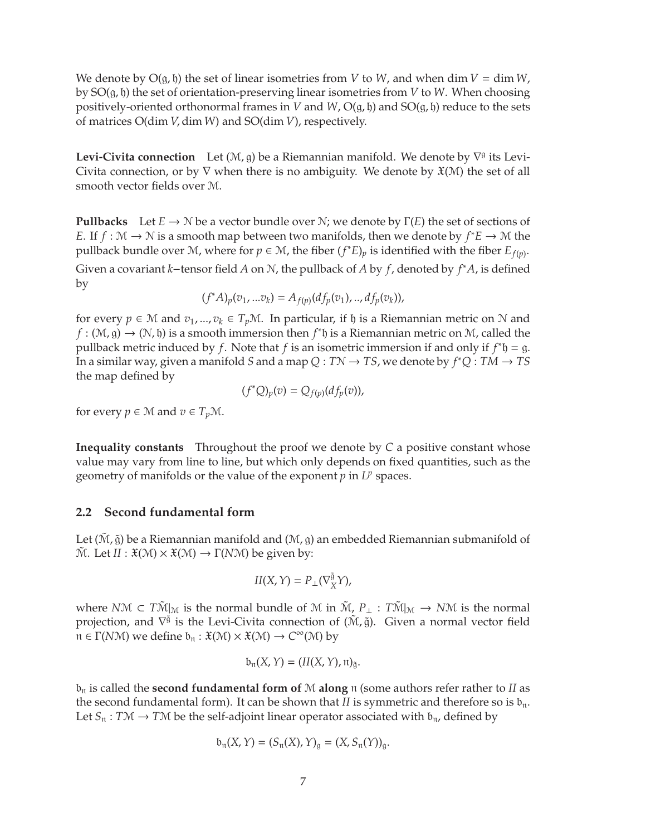We denote by  $O(g, h)$  the set of linear isometries from *V* to *W*, and when dim *V* = dim *W*, by SO(g, h) the set of orientation-preserving linear isometries from *V* to *W*. When choosing positively-oriented orthonormal frames in *V* and *W*,  $O(g, h)$  and  $SO(g, h)$  reduce to the sets of matrices O(dim *V*, dim*W*) and SO(dim *V*), respectively.

**Levi-Civita connection** Let  $(\mathcal{M}, g)$  be a Riemannian manifold. We denote by  $\nabla^g$  its Levi-Civita connection, or by  $\nabla$  when there is no ambiguity. We denote by  $\mathfrak{X}(M)$  the set of all smooth vector fields over M.

**Pullbacks** Let  $E \to \mathcal{N}$  be a vector bundle over  $\mathcal{N}$ ; we denote by  $\Gamma(E)$  the set of sections of *E*. If *f* :  $M \rightarrow N$  is a smooth map between two manifolds, then we denote by  $f^*E \rightarrow M$  the pullback bundle over M, where for  $p \in M$ , the fiber  $(f^*E)_p$  is identified with the fiber  $E_{f(p)}$ .

Given a covariant *<sup>k</sup>*−tensor field *<sup>A</sup>* on <sup>N</sup>, the pullback of *<sup>A</sup>* by *<sup>f</sup>*, denoted by *<sup>f</sup>* ∗*A*, is defined by

$$
(f^*A)_p(v_1,...v_k) = A_{f(p)}(df_p(v_1),...,df_p(v_k)),
$$

for every  $p \in \mathcal{M}$  and  $v_1, ..., v_k \in T_p\mathcal{M}$ . In particular, if  $\mathfrak h$  is a Riemannian metric on  $\mathcal N$  and  $f : (\mathcal{M}, g) \to (\mathcal{N}, \mathfrak{h})$  is a smooth immersion then  $f^* \mathfrak{h}$  is a Riemannian metric on  $\mathcal{M}$ , called the pullback metric induced by *f*. Note that *f* is an isometric immersion if and only if  $f^*$ h = g. In a similar way, given a manifold *S* and a map  $Q: T\mathcal{N} \to TS$ , we denote by  $f^*Q: TM \to TS$ the map defined by

$$
(f^*Q)_p(v) = Q_{f(p)}(df_p(v)),
$$

for every  $p \in \mathcal{M}$  and  $v \in T_p\mathcal{M}$ .

**Inequality constants** Throughout the proof we denote by *C* a positive constant whose value may vary from line to line, but which only depends on fixed quantities, such as the geometry of manifolds or the value of the exponent  $p$  in  $L^p$  spaces.

#### <span id="page-6-0"></span>**2.2 Second fundamental form**

Let  $(\tilde{M}, \tilde{g})$  be a Riemannian manifold and  $(M, g)$  an embedded Riemannian submanifold of  $\widetilde{M}$ . Let  $II : \mathfrak{X}(\mathcal{M}) \times \mathfrak{X}(\mathcal{M}) \rightarrow \Gamma(N\mathcal{M})$  be given by:

$$
II(X,Y) = P_{\perp}(\nabla^{\tilde{\mathfrak{g}}}_X Y),
$$

where *NM* ⊂  $T\tilde{M}|_M$  is the normal bundle of M in  $\tilde{M}$ ,  $P_{\perp}$  :  $T\tilde{M}|_M$  → *NM* is the normal projection, and  $\nabla^{\tilde{\mathfrak{g}}}$  is the Levi-Civita connection of  $(\tilde{M},\tilde{g})$ . Given a normal vector field <sup>n</sup> <sup>∈</sup> <sup>Γ</sup>(*N*M) we define <sup>b</sup><sup>n</sup> : <sup>X</sup>(M) <sup>×</sup> <sup>X</sup>(M) <sup>→</sup> *<sup>C</sup>* <sup>∞</sup>(M) by

$$
\mathfrak{b}_{\mathfrak{n}}(X,Y)=(II(X,Y),\mathfrak{n})_{\tilde{\mathfrak{g}}}.
$$

 $b_n$  is called the **second fundamental form of** M **along**  $n$  (some authors refer rather to *II* as the second fundamental form). It can be shown that *II* is symmetric and therefore so is  $b_n$ . Let  $S_n : T\mathcal{M} \to T\mathcal{M}$  be the self-adjoint linear operator associated with  $b_n$ , defined by

$$
b_n(X, Y) = (S_n(X), Y)_{\mathfrak{g}} = (X, S_n(Y))_{\mathfrak{g}}.
$$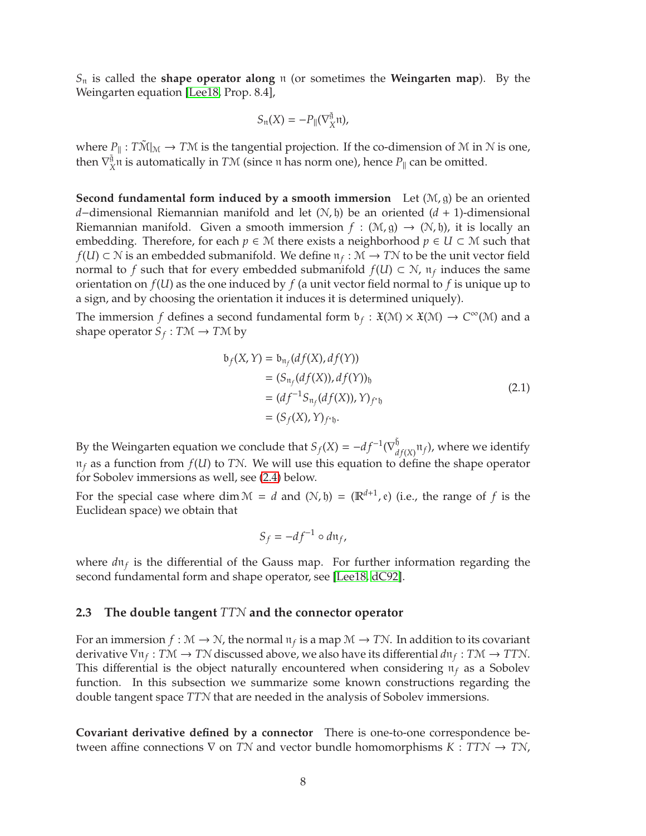<span id="page-7-1"></span>*S*<sup>n</sup> is called the **shape operator along** n (or sometimes the **Weingarten map**). By the Weingarten equation [\[Lee18,](#page-31-11) Prop. 8.4],

$$
S_{\mathfrak{n}}(X)=-P_{\parallel}(\nabla^{\tilde{\mathfrak{g}}}_X\mathfrak{n}),
$$

where  $P_{\text{in}}: T\tilde{\mathcal{M}}|_{\mathcal{M}} \to T\mathcal{M}$  is the tangential projection. If the co-dimension of  $\mathcal M$  in  $\mathcal N$  is one, then  $\nabla^{\tilde{\mathfrak{g}}}_{\lambda}$  $\frac{\tilde{A}}{X}$ n is automatically in *TM* (since  $\pi$  has norm one), hence  $P_{\parallel}$  can be omitted.

**Second fundamental form induced by a smooth immersion** Let (M, g) be an oriented *d*−dimensional Riemannian manifold and let (N, b) be an oriented (*d* + 1)-dimensional Riemannian manifold. Given a smooth immersion  $f : (\mathcal{M}, \mathfrak{g}) \to (\mathcal{N}, \mathfrak{h})$ , it is locally an embedding. Therefore, for each  $p \in \mathcal{M}$  there exists a neighborhood  $p \in U \subset \mathcal{M}$  such that *f*(*U*) ⊂  $\mathcal N$  is an embedded submanifold. We define  $\mathfrak n_f : \mathcal M \to TN$  to be the unit vector field normal to *f* such that for every embedded submanifold  $f(U) \subset \mathcal{N}$ ,  $\mathfrak{n}_f$  induces the same orientation on  $f(U)$  as the one induced by  $f$  (a unit vector field normal to  $f$  is unique up to a sign, and by choosing the orientation it induces it is determined uniquely).

The immersion *f* defines a second fundamental form  $\mathfrak{b}_f : \mathfrak{X}(\mathcal{M}) \times \mathfrak{X}(\mathcal{M}) \to C^\infty(\mathcal{M})$  and a shape operator  $S_f: T\mathcal{M} \to T\mathcal{M}$  by

$$
b_f(X, Y) = b_{\mathfrak{n}_f}(df(X), df(Y))
$$
  
=  $(S_{\mathfrak{n}_f}(df(X)), df(Y))_{\mathfrak{h}}$   
=  $(df^{-1}S_{\mathfrak{n}_f}(df(X)), Y)_{f^*\mathfrak{h}}$   
=  $(S_f(X), Y)_{f^*\mathfrak{h}}$ . (2.1)

<span id="page-7-0"></span>By the Weingarten equation we conclude that  $S_f(X) = -df^{-1}(\nabla_d^{\vec{b}})$  $\int_{df(X)}^{\mathfrak{h}}\mathfrak{n}_f$ ), where we identify  $\pi_f$  as a function from  $f(U)$  to *TN*. We will use this equation to define the shape operator for Sobolev immersions as well, see [\(2.4\)](#page-9-1) below.

For the special case where  $\dim \mathcal{M} = d$  and  $(\mathcal{N}, \mathfrak{h}) = (\mathbb{R}^{d+1}, \mathfrak{e})$  (i.e., the range of  $f$  is the Euclidean space) we obtain that

$$
S_f = -df^{-1} \circ d\mathfrak{n}_f,
$$

where  $d\mathfrak{n}_f$  is the differential of the Gauss map. For further information regarding the second fundamental form and shape operator, see [\[Lee18,](#page-31-11) [dC92\]](#page-30-6).

#### **2.3 The double tangent** *TT*N **and the connector operator**

For an immersion  $f : \mathcal{M} \to \mathcal{N}$ , the normal  $\mathfrak{n}_f$  is a map  $\mathcal{M} \to \mathcal{T}\mathcal{N}$ . In addition to its covariant derivative  $\nabla$   $\mathfrak{n}_f : T\mathfrak{M} \to T\mathfrak{N}$  discussed above, we also have its differential  $d\mathfrak{n}_f : T\mathfrak{M} \to T\mathfrak{N}$ . This differential is the object naturally encountered when considering  $\pi_f$  as a Sobolev function. In this subsection we summarize some known constructions regarding the double tangent space *TT*N that are needed in the analysis of Sobolev immersions.

**Covariant derivative defined by a connector** There is one-to-one correspondence between affine connections <sup>∇</sup> on *<sup>T</sup>*<sup>N</sup> and vector bundle homomorphisms *<sup>K</sup>* : *TT*<sup>N</sup> <sup>→</sup> *<sup>T</sup>*N,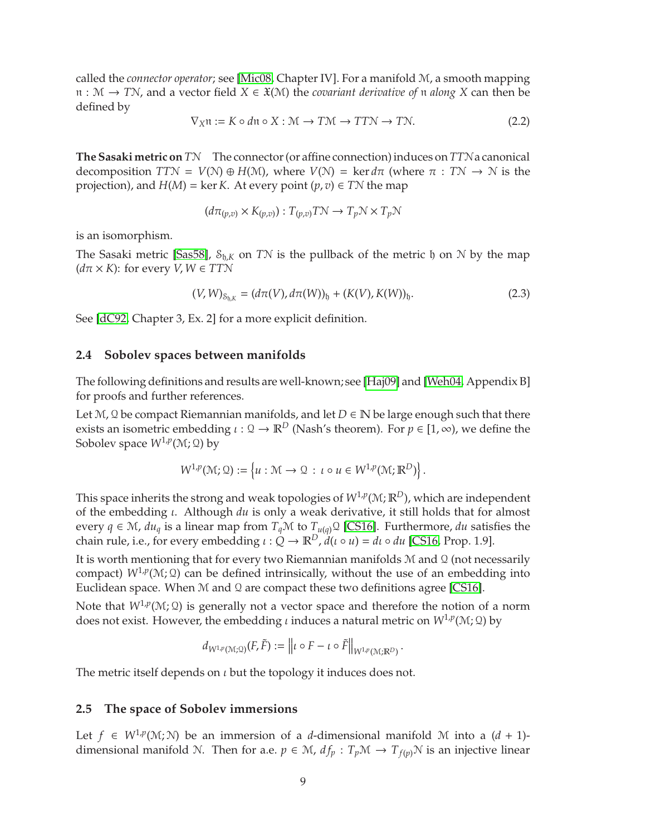<span id="page-8-4"></span>called the *connector operator*; see [\[Mic08,](#page-31-12) Chapter IV]. For a manifold M, a smooth mapping <sup>n</sup> : <sup>M</sup> <sup>→</sup> *<sup>T</sup>*N, and a vector field *<sup>X</sup>* <sup>∈</sup> <sup>X</sup>(M) the *covariant derivative of* <sup>n</sup> *along X* can then be defined by

<span id="page-8-1"></span>
$$
\nabla_X \mathfrak{n} := K \circ d\mathfrak{n} \circ X : \mathcal{M} \to T\mathcal{M} \to T\mathcal{T}\mathcal{N} \to T\mathcal{N}.
$$
 (2.2)

**The Sasaki metric on** *T*N The connector (or affine connection) induces on *TT*Na canonical decomposition  $TTN = V(N) \oplus H(M)$ , where  $V(N) = \ker d\pi$  (where  $\pi : TN \to N$  is the projection), and  $H(M) = \ker K$ . At every point  $(p, v) \in T\mathcal{N}$  the map

$$
(d\pi_{(p,v)} \times K_{(p,v)}) : T_{(p,v)}T\mathcal{N} \to T_p \mathcal{N} \times T_p \mathcal{N}
$$

is an isomorphism.

The Sasaki metric [\[Sas58\]](#page-31-13),  $S_{h,K}$  on TN is the pullback of the metric h on N by the map  $(d\pi \times K)$ : for every *V*,  $W \in TTN$ 

<span id="page-8-2"></span>
$$
(V, W)_{S_{\mathfrak{h}, K}} = (d\pi(V), d\pi(W))_{\mathfrak{h}} + (K(V), K(W))_{\mathfrak{h}}.
$$
 (2.3)

See [\[dC92,](#page-30-6) Chapter 3, Ex. 2] for a more explicit definition.

#### <span id="page-8-3"></span>**2.4 Sobolev spaces between manifolds**

The following definitions and results are well-known; see [\[Haj09\]](#page-31-14) and [\[Weh04,](#page-31-15) Appendix B] for proofs and further references.

Let  $M$ ,  $Q$  be compact Riemannian manifolds, and let  $D \in \mathbb{N}$  be large enough such that there exists an isometric embedding  $\iota : \mathcal{Q} \to \mathbb{R}^D$  (Nash's theorem). For  $p \in [1, \infty)$ , we define the Sobolev space *W*1,*<sup>p</sup>* (M; Q) by

$$
W^{1,p}(\mathcal{M};\Omega):=\left\{u:\mathcal{M}\to\Omega\,:\,\iota\circ u\in W^{1,p}(\mathcal{M};\mathbb{R}^D)\right\}.
$$

This space inherits the strong and weak topologies of  $W^{1,p}(\mathcal{M};{\mathbb R}^D)$ , which are independent of the embedding ι. Although *du* is only a weak derivative, it still holds that for almost every  $q \in \mathcal{M}$ ,  $du_q$  is a linear map from  $T_q\mathcal{M}$  to  $T_{u(q)}\mathcal{Q}$  [\[CS16\]](#page-30-7). Furthermore, *du* satisfies the chain rule, i.e., for every embedding  $\iota$  :  $\dot{Q} \rightarrow \mathbb{R}^D$ ,  $\ddot{d}(\iota \circ u) = d\iota \circ du$  [\[CS16,](#page-30-7) Prop. 1.9].

It is worth mentioning that for every two Riemannian manifolds  $M$  and  $Q$  (not necessarily compact)  $W^{1,p}(\mathcal{M};\mathcal{Q})$  can be defined intrinsically, without the use of an embedding into Euclidean space. When  $M$  and  $Q$  are compact these two definitions agree [\[CS16\]](#page-30-7).

Note that  $W^{1,p}(\mathcal{M};\mathfrak{Q})$  is generally not a vector space and therefore the notion of a norm does not exist. However, the embedding *ι* induces a natural metric on  $W^{1,p}(M;Q)$  by

$$
d_{W^{1,p}(\mathcal{M};\mathcal{Q})}(F,\tilde{F}) := \left\| \iota \circ F - \iota \circ \tilde{F} \right\|_{W^{1,p}(\mathcal{M};\mathbb{R}^D)}.
$$

The metric itself depends on  $\iota$  but the topology it induces does not.

#### <span id="page-8-0"></span>**2.5 The space of Sobolev immersions**

Let *f* ∈ *W*<sup>1</sup>,*p*(*M*; *N*) be an immersion of a *d*-dimensional manifold *M* into a (*d* + 1)dimensional manifold N. Then for a.e.  $p \in M$ ,  $df_p : T_pM \to T_{f(p)}N$  is an injective linear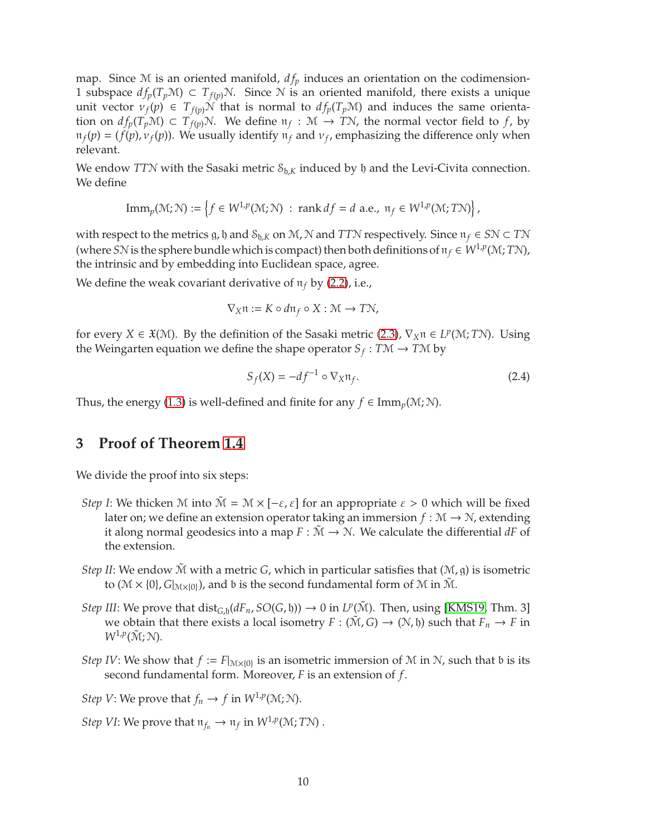<span id="page-9-2"></span>map. Since  $M$  is an oriented manifold,  $df_p$  induces an orientation on the codimension-1 subspace  $df_p(T_pM)$  ⊂  $T_{f(p)}N$ . Since N is an oriented manifold, there exists a unique unit vector  $v_f(p) \in T_{f(p)}N$  that is normal to  $df_p(T_pM)$  and induces the same orientation on  $df_p(T_pM) \subset T_{f(p)}N$ . We define  $\pi_f : M \to TN$ , the normal vector field to *f*, by  $\pi_f(p) = (f(p), v_f(p))$ . We usually identify  $\pi_f$  and  $v_f$ , emphasizing the difference only when relevant.

We endow *TTN* with the Sasaki metric  $S_{h,K}$  induced by  $h$  and the Levi-Civita connection. We define

$$
\mathrm{Imm}_p(\mathcal{M}; \mathcal{N}) := \left\{ f \in W^{1,p}(\mathcal{M}; \mathcal{N}) \; : \; \mathrm{rank} \, df = d \; \mathrm{a.e.,} \; \mathfrak{n}_f \in W^{1,p}(\mathcal{M}; T\mathcal{N}) \right\},
$$

with respect to the metrics g, h and  $S_{h,K}$  on M, N and *TTN* respectively. Since  $n_f \in SN \subset TN$ (where *SN* is the sphere bundle which is compact) then both definitions of  $\pi_f \in W^{1,p}(M;TM)$ , the intrinsic and by embedding into Euclidean space, agree.

We define the weak covariant derivative of  $\pi_f$  by [\(2.2\)](#page-8-1), i.e.,

$$
\nabla_X \mathfrak{n} := K \circ d\mathfrak{n}_f \circ X : \mathcal{M} \to T\mathcal{N},
$$

for every *X*  $\in \mathfrak{X}(\mathcal{M})$ . By the definition of the Sasaki metric [\(2.3\)](#page-8-2),  $\nabla_X \mathfrak{n} \in L^p(\mathcal{M}; T\mathcal{N})$ . Using the Weingarten equation we define the shape operator  $S_f : T \mathcal{M} \to T \mathcal{M}$  by

<span id="page-9-1"></span>
$$
S_f(X) = -df^{-1} \circ \nabla_X \mathfrak{n}_f. \tag{2.4}
$$

Thus, the energy [\(1.3\)](#page-2-3) is well-defined and finite for any  $f \in \text{Imm}_v(\mathcal{M}; \mathcal{N})$ .

## <span id="page-9-0"></span>**3 Proof of Theorem [1.4](#page-2-2)**

We divide the proof into six steps:

- *Step I*: We thicken M into  $\tilde{M} = M \times [-\varepsilon, \varepsilon]$  for an appropriate  $\varepsilon > 0$  which will be fixed later on; we define an extension operator taking an immersion  $f : \mathcal{M} \to \mathcal{N}$ , extending it along normal geodesics into a map  $F : \mathcal{M} \to \mathcal{N}$ . We calculate the differential *dF* of the extension.
- *Step II*: We endow  $\tilde{M}$  with a metric *G*, which in particular satisfies that  $(\mathcal{M}, g)$  is isometric to  $(\mathcal{M} \times \{0\}, G|_{\mathcal{M} \times \{0\}})$ , and b is the second fundamental form of  $\mathcal{M}$  in  $\tilde{\mathcal{M}}$ .
- *Step III*: We prove that  $dist_{G,h}(dF_n, SO(G, \mathfrak{h})) \to 0$  in  $L^p(\tilde{M})$ . Then, using [\[KMS19,](#page-31-9) Thm. 3] we obtain that there exists a local isometry  $F : (\tilde{M}, G) \to (N, \mathfrak{h})$  such that  $F_n \to F$  in  $W^{1,p}(\tilde{M}; N)$ .
- *Step IV*: We show that  $f := F|_{M \times \{0\}}$  is an isometric immersion of M in N, such that b is its second fundamental form. Moreover, *F* is an extension of *f*.

*Step V*: We prove that  $f_n \to f$  in  $W^{1,p}(\mathcal{M}; \mathcal{N})$ .

*Step VI*: We prove that  $\mathfrak{n}_{f_n} \to \mathfrak{n}_f$  in  $W^{1,p}(\mathcal{M};T\mathcal{N})$ .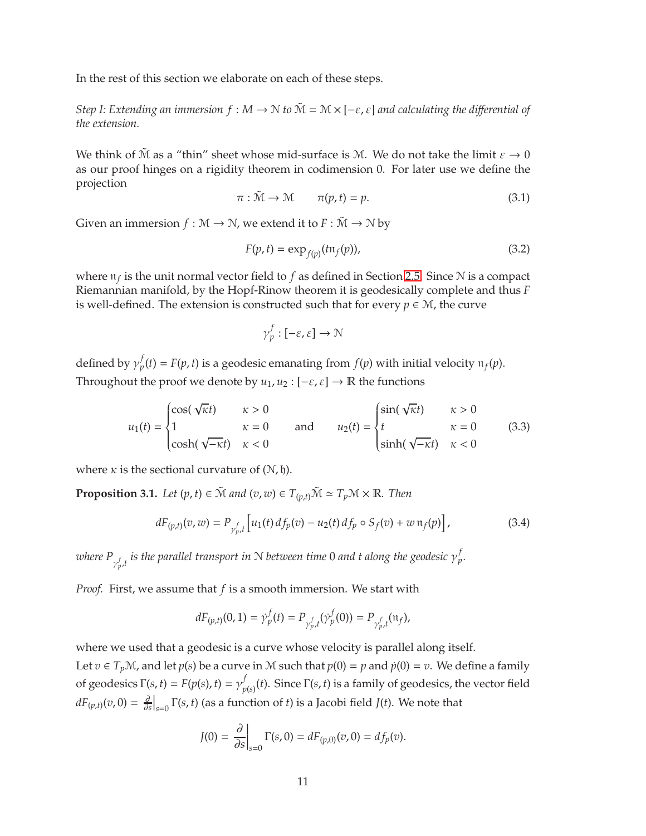In the rest of this section we elaborate on each of these steps.

*Step I: Extending an immersion*  $f : M \to N$  *to*  $\tilde{M} = M \times [-\varepsilon, \varepsilon]$  *and calculating the differential of the extension.*

We think of  $\tilde{M}$  as a "thin" sheet whose mid-surface is M. We do not take the limit  $\varepsilon \to 0$ as our proof hinges on a rigidity theorem in codimension 0. For later use we define the projection

<span id="page-10-2"></span>
$$
\pi : \tilde{\mathcal{M}} \to \mathcal{M} \qquad \pi(p, t) = p. \tag{3.1}
$$

Given an immersion  $f : \mathcal{M} \to \mathcal{N}$ , we extend it to  $F : \tilde{\mathcal{M}} \to \mathcal{N}$  by

<span id="page-10-1"></span>
$$
F(p, t) = \exp_{f(p)}(t \cdot \pi_f(p)),
$$
\n(3.2)

where  $\mathfrak{n}_f$  is the unit normal vector field to  $f$  as defined in Section [2.5.](#page-8-0) Since  $\mathcal N$  is a compact Riemannian manifold, by the Hopf-Rinow theorem it is geodesically complete and thus *F* is well-defined. The extension is constructed such that for every  $p \in \mathcal{M}$ , the curve

$$
\gamma_p^f:[-\varepsilon,\varepsilon]\to\mathcal{N}
$$

defined by  $\gamma_p^f$  $p(t) = F(p, t)$  is a geodesic emanating from  $f(p)$  with initial velocity  $\pi_f(p)$ . Throughout the proof we denote by  $u_1, u_2 : [-\varepsilon, \varepsilon] \to \mathbb{R}$  the functions

$$
u_1(t) = \begin{cases} \cos(\sqrt{\kappa}t) & \kappa > 0 \\ 1 & \kappa = 0 \\ \cosh(\sqrt{-\kappa}t) & \kappa < 0 \end{cases} \quad \text{and} \quad u_2(t) = \begin{cases} \sin(\sqrt{\kappa}t) & \kappa > 0 \\ t & \kappa = 0 \\ \sinh(\sqrt{-\kappa}t) & \kappa < 0 \end{cases} \tag{3.3}
$$

where  $\kappa$  is the sectional curvature of  $(N, \mathfrak{h})$ .

<span id="page-10-3"></span>**Proposition 3.1.** *Let*  $(p, t) \in \tilde{M}$  *and*  $(v, w) \in T_{(v,t)}\tilde{M} \simeq T_pM \times \mathbb{R}$ *. Then* 

<span id="page-10-0"></span>
$$
dF_{(p,t)}(v,w) = P_{\gamma_{p,t}^f} \left[ u_1(t) \, df_p(v) - u_2(t) \, df_p \circ S_f(v) + w \, \mathfrak{n}_f(p) \right],\tag{3.4}
$$

where  $P_{\gamma_p^f,t}$  is the parallel transport in  $N$  between time 0 and t along the geodesic  $\gamma_p^f$ *p .*

*Proof.* First, we assume that *f* is a smooth immersion. We start with

$$
dF_{(p,t)}(0,1) = \dot{\gamma}_p^f(t) = P_{\gamma_{p,t}^f}(\dot{\gamma}_p^f(0)) = P_{\gamma_{p,t}^f}(\pi_f),
$$

where we used that a geodesic is a curve whose velocity is parallel along itself.

Let  $v \in T_p\mathcal{M}$ , and let  $p(s)$  be a curve in M such that  $p(0) = p$  and  $\dot{p}(0) = v$ . We define a family of geodesics  $\Gamma(s, t) = F(p(s), t) = \gamma_n^f$  $P_{p(s)}(t)$ . Since Γ(*s, t*) is a family of geodesics, the vector field  $dF_{(p,t)}(v,0) = \frac{\partial}{\partial s}$  $\left.\frac{\partial}{\partial s}\right|_{s=0} \Gamma(s,t)$  (as a function of *t*) is a Jacobi field *J*(*t*). We note that

$$
J(0) = \frac{\partial}{\partial s}\Big|_{s=0} \Gamma(s, 0) = dF_{(p,0)}(v, 0) = df_p(v).
$$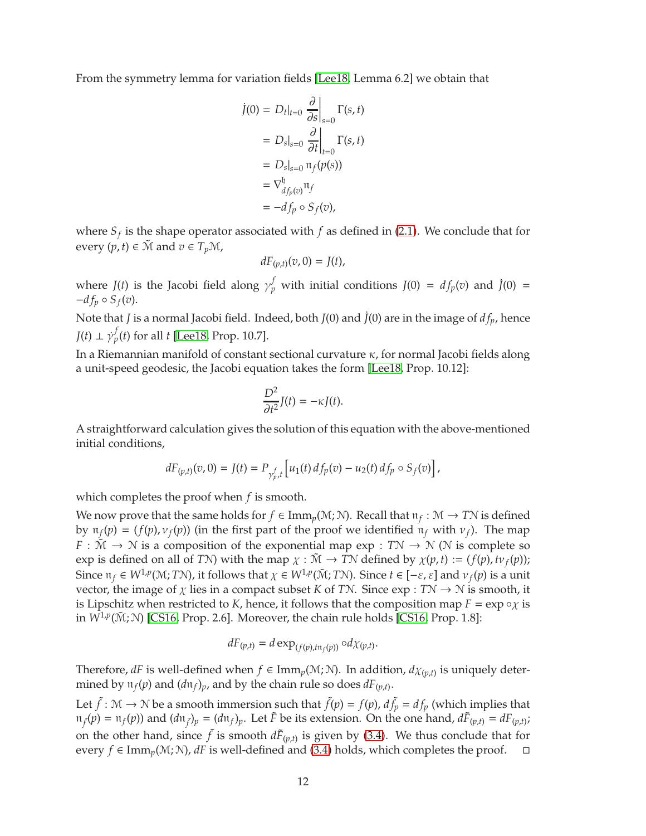<span id="page-11-0"></span>From the symmetry lemma for variation fields [\[Lee18,](#page-31-11) Lemma 6.2] we obtain that

$$
\begin{aligned}\n\dot{J}(0) &= D_t|_{t=0} \left. \frac{\partial}{\partial s} \right|_{s=0} \Gamma(s, t) \\
&= D_s|_{s=0} \left. \frac{\partial}{\partial t} \right|_{t=0} \Gamma(s, t) \\
&= D_s|_{s=0} \left. \pi_f(p(s)) \right. \\
&= \nabla_{d_{fp}(v)}^b \pi_f \\
&= -df_p \circ S_f(v),\n\end{aligned}
$$

where  $S_f$  is the shape operator associated with  $f$  as defined in [\(2.1\)](#page-7-0). We conclude that for every  $(p, t) \in \tilde{M}$  and  $v \in T_pM$ ,

$$
dF_{(p,t)}(v,0)=J(t),
$$

where  $J(t)$  is the Jacobi field along  $\gamma_p^f$  with initial conditions  $J(0) = df_p(v)$  and  $\dot{J}(0) =$  $-df_p \circ S_f(v)$ .

Note that *J* is a normal Jacobi field. Indeed, both *J*(0) and ˙*J*(0) are in the image of *d fp*, hence  $J(t) \perp \dot{\gamma}_p^f$ *p* (*t*) for all *t* [\[Lee18,](#page-31-11) Prop. 10.7].

In a Riemannian manifold of constant sectional curvature  $\kappa$ , for normal Jacobi fields along a unit-speed geodesic, the Jacobi equation takes the form [\[Lee18,](#page-31-11) Prop. 10.12]:

$$
\frac{D^2}{\partial t^2}J(t)=-\kappa J(t).
$$

A straightforward calculation gives the solution of this equation with the above-mentioned initial conditions,

$$
dF_{(p,t)}(v,0) = J(t) = P_{\gamma_{p,t}^f} \left[ u_1(t) \, df_p(v) - u_2(t) \, df_p \circ S_f(v) \right],
$$

which completes the proof when *f* is smooth.

We now prove that the same holds for  $f \in \text{Imm}_p(\mathcal{M}; \mathcal{N})$ . Recall that  $\mathfrak{n}_f : \mathcal{M} \to TN$  is defined by  $\pi_f(p) = (f(p), \nu_f(p))$  (in the first part of the proof we identified  $\pi_f$  with  $\nu_f$ ). The map *F* :  $\tilde{M} \rightarrow N$  is a composition of the exponential map exp : *TN*  $\rightarrow$  *N* (*N* is complete so exp is defined on all of *TN*) with the map  $\chi : \tilde{M} \to T\mathcal{N}$  defined by  $\chi(p, t) := (f(p), tv_f(p));$ Since  $\pi_f \in W^{1,p}(M;TN)$ , it follows that  $\chi \in W^{1,p}(\tilde{M};TN)$ . Since  $t \in [-\varepsilon, \varepsilon]$  and  $\nu_f(p)$  is a unit vector, the image of  $\chi$  lies in a compact subset *K* of *TN*. Since exp : *TN*  $\rightarrow$  *N* is smooth, it is Lipschitz when restricted to *K*, hence, it follows that the composition map  $F = \exp \circ \chi$  is in  $W^{1,p}(\tilde{M};N)$  [\[CS16,](#page-30-7) Prop. 2.6]. Moreover, the chain rule holds [CS16, Prop. 1.8]:

$$
dF_{(p,t)} = d \exp_{(f(p),t\mathfrak{n}_f(p))} \circ d\chi_{(p,t)}.
$$

Therefore, *dF* is well-defined when  $f \in \text{Imm}_p(\mathcal{M}; \mathcal{N})$ . In addition,  $d\chi_{(p,t)}$  is uniquely determined by  $\pi_f(p)$  and  $(d\pi_f)_p$ , and by the chain rule so does  $dF_{(p,t)}$ .

Let  $\tilde{f}$ :  $M \to N$  be a smooth immersion such that  $\tilde{f}(p) = f(p)$ ,  $d\tilde{f}_p = df_p$  (which implies that  $\pi_f(p) = \pi_f(p)$  and  $(d\pi_f)_p = (d\pi_f)_p$ . Let  $\tilde{F}$  be its extension. On the one hand,  $d\tilde{F}_{(p,t)} = dF_{(p,t)}$ ; on the other hand, since  $\tilde{f}$  is smooth  $d\tilde{F}_{(p,t)}$  is given by [\(3.4\)](#page-10-0). We thus conclude that for every *f* ∈ Imm<sub>*p*</sub>(*M*; *N*), *dF* is well-defined and [\(3.4\)](#page-10-0) holds, which completes the proof.  $\Box$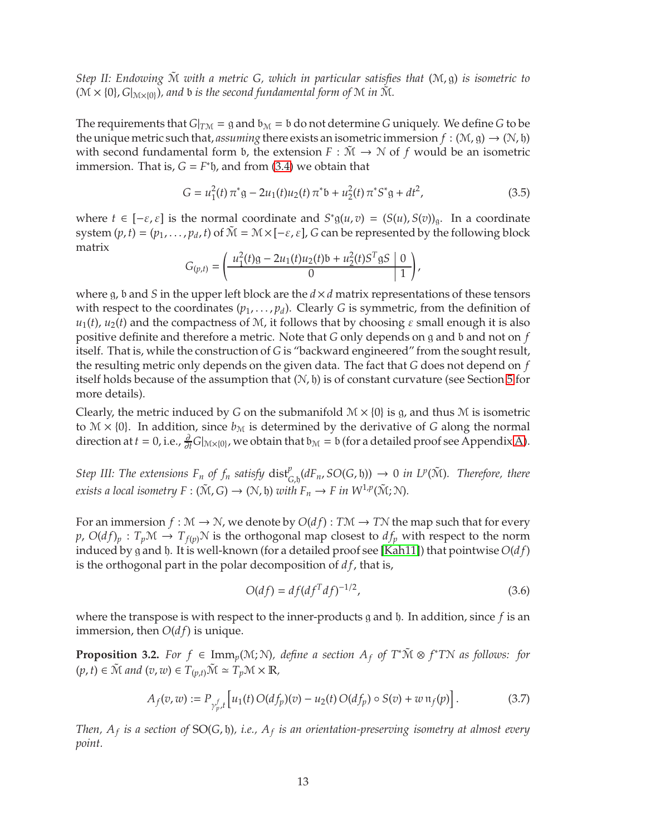<span id="page-12-3"></span>*Step II: Endowing* M˜ *with a metric G, which in particular satisfies that* (M, g) *is isometric to*  $(M \times \{0\}, G|_{M \times \{0\}})$ , and b is the second fundamental form of M in  $\tilde{M}$ .

The requirements that  $G|_{T M} = \mathfrak{g}$  and  $\mathfrak{b}_M = \mathfrak{b}$  do not determine *G* uniquely. We define *G* to be the unique metric such that, *assuming* there exists an isometric immersion  $f : (\mathcal{M}, g) \to (\mathcal{N}, \mathfrak{h})$ with second fundamental form b, the extension  $F : \tilde{M} \to \tilde{N}$  of f would be an isometric immersion. That is,  $G = F^*$   $\mathfrak h$ , and from [\(3.4\)](#page-10-0) we obtain that

<span id="page-12-2"></span>
$$
G = u_1^2(t)\pi^*g - 2u_1(t)u_2(t)\pi^*b + u_2^2(t)\pi^*S^*g + dt^2,
$$
\n(3.5)

where  $t \in [-\varepsilon, \varepsilon]$  is the normal coordinate and  $S^* g(u, v) = (S(u), S(v))_g$ . In a coordinate system  $(p, t) = (p_1, \ldots, p_d, t)$  of  $\tilde{M} = M \times [-\varepsilon, \varepsilon]$ , *G* can be represented by the following block matrix

$$
G_{(p,t)} = \left(\frac{u_1^2(t)g - 2u_1(t)u_2(t) + u_2^2(t)S^T gS \mid 0}{0}\right),\,
$$

where g, b and *S* in the upper left block are the  $d \times d$  matrix representations of these tensors with respect to the coordinates  $(p_1, \ldots, p_d)$ . Clearly *G* is symmetric, from the definition of  $u_1(t)$ ,  $u_2(t)$  and the compactness of M, it follows that by choosing  $\varepsilon$  small enough it is also positive definite and therefore a metric. Note that *G* only depends on g and b and not on *f* itself. That is, while the construction of *G* is "backward engineered" from the sought result, the resulting metric only depends on the given data. The fact that *G* does not depend on *f* itself holds because of the assumption that  $(N, \mathfrak{h})$  is of constant curvature (see Section [5](#page-23-0) for more details).

Clearly, the metric induced by *G* on the submanifold  $\mathcal{M} \times \{0\}$  is g, and thus  $\mathcal{M}$  is isometric to  $M \times \{0\}$ . In addition, since  $b_M$  is determined by the derivative of *G* along the normal direction at  $t = 0$ , i.e.,  $\frac{\partial}{\partial t} G|_{\mathcal{M}\times\{0\}}$ , we obtain that  $\mathfrak{b}_{\mathcal{M}} = \mathfrak{b}$  (for a detailed proof see Appendix [A\)](#page-25-0).

*Step III: The extensions*  $F_n$  *of*  $f_n$  *satisfy*  $dist_{G,b}^p(dF_n, SO(G,b)) \to 0$  *in LP*( $\tilde{M}$ )*. Therefore, there exists a local isometry*  $F : (\tilde{M}, G) \to (\mathcal{N}, \mathfrak{h})$  *with*  $F_n \to F$  *in*  $W^{1,p}(\tilde{M}; \mathcal{N})$ *.* 

For an immersion  $f : \mathcal{M} \to \mathcal{N}$ , we denote by  $O(df) : T\mathcal{M} \to T\mathcal{N}$  the map such that for every  $p$ ,  $O(df)_p$ :  $T_p\mathcal{M} \to T_{f(p)}\mathcal{N}$  is the orthogonal map closest to  $df_p$  with respect to the norm induced by g and h. It is well-known (for a detailed proof see [\[Kah11\]](#page-31-16)) that pointwise *O*(*d f*) is the orthogonal part in the polar decomposition of *d f*, that is,

<span id="page-12-0"></span>
$$
O(df) = df(df^{T}df)^{-1/2},
$$
\n(3.6)

where the transpose is with respect to the inner-products g and  $\mathfrak h$ . In addition, since  $f$  is an immersion, then  $O(df)$  is unique.

**Proposition 3.2.** *For*  $f \in \text{Imm}_p(\mathcal{M}; \mathcal{N})$ *, define a section*  $A_f$  *of*  $T^*\tilde{\mathcal{M}} \otimes f^*T\mathcal{N}$  *as follows: for*  $(p, t) \in \tilde{M}$  and  $(v, w) \in T_{(v,t)}\tilde{M} \simeq T_p \mathcal{M} \times \mathbb{R}$ ,

<span id="page-12-1"></span>
$$
A_f(v, w) := P_{\gamma_{p}^f, t} \left[ u_1(t) O(df_p)(v) - u_2(t) O(df_p) \circ S(v) + w \, \mathfrak{n}_f(p) \right]. \tag{3.7}
$$

*Then, A<sup>f</sup> is a section of* SO(*G*, h)*, i.e., A<sup>f</sup> is an orientation-preserving isometry at almost every point.*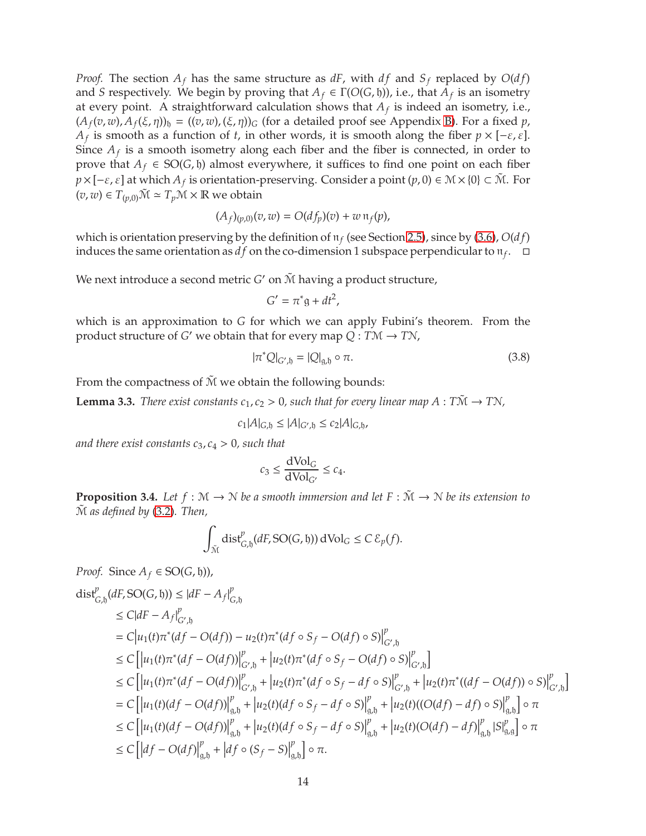*Proof.* The section  $A_f$  has the same structure as  $dF$ , with  $df$  and  $S_f$  replaced by  $O(df)$ and *S* respectively. We begin by proving that  $A_f \in \Gamma(O(G, \mathfrak{h}))$ , i.e., that  $A_f$  is an isometry at every point. A straightforward calculation shows that *A<sup>f</sup>* is indeed an isometry, i.e.,  $(A_f(v, w), A_f(\xi, \eta))_b = ((v, w), (\xi, \eta))_G$  (for a detailed proof see Appendix [B\)](#page-25-1). For a fixed *p*, *A<sub>f</sub>* is smooth as a function of *t*, in other words, it is smooth along the fiber  $p \times [-\varepsilon, \varepsilon]$ . Since  $A_f$  is a smooth isometry along each fiber and the fiber is connected, in order to prove that *A*<sup>*f*</sup> ∈ SO(*G*, *h*) almost everywhere, it suffices to find one point on each fiber  $p \times [-\varepsilon, \varepsilon]$  at which  $A_f$  is orientation-preserving. Consider a point  $(p, 0) \in \mathcal{M} \times \{0\} \subset \tilde{\mathcal{M}}$ . For  $(v, w) ∈ T_{(p,0)}\tilde{M} ≅ T_p\mathcal{M} × \mathbb{R}$  we obtain

$$
(A_f)_{(p,0)}(v,w) = O(df_p)(v) + w \, \mathfrak{n}_f(p),
$$

which is orientation preserving by the definition of  $\pi_f$  (see Section [2.5\)](#page-8-0), since by [\(3.6\)](#page-12-0),  $O(df)$ induces the same orientation as  $df$  on the co-dimension 1 subspace perpendicular to  $\mathfrak{n}_f$ .  $\Box$ 

We next introduce a second metric  $G'$  on  $\tilde{\mathcal{M}}$  having a product structure,

$$
G' = \pi^* \mathfrak{g} + dt^2,
$$

which is an approximation to *G* for which we can apply Fubini's theorem. From the product structure of *G* ′ we obtain that for every map *<sup>Q</sup>* : *<sup>T</sup>*<sup>M</sup> <sup>→</sup> *<sup>T</sup>*N,

<span id="page-13-0"></span>
$$
|\pi^*Q|_{G',\mathfrak{h}} = |Q|_{\mathfrak{g},\mathfrak{h}} \circ \pi.
$$
 (3.8)

From the compactness of  $\tilde{M}$  we obtain the following bounds:

**Lemma 3.3.** *There exist constants*  $c_1$ *,*  $c_2 > 0$ *, such that for every linear map A* :  $T\tilde{M} \rightarrow T\tilde{N}$ *,* 

$$
c_1|A|_{G,\mathfrak{h}} \le |A|_{G',\mathfrak{h}} \le c_2|A|_{G,\mathfrak{h}},
$$

*and there exist constants*  $c_3$ *,*  $c_4 > 0$ *, such that* 

$$
c_3 \le \frac{\text{dVol}_G}{\text{dVol}_{G'}} \le c_4.
$$

<span id="page-13-1"></span>**Proposition 3.4.** Let  $f : \mathbb{M} \to \mathbb{N}$  be a smooth immersion and let  $F : \tilde{\mathbb{M}} \to \mathbb{N}$  be its extension to M˜ *as defined by* [\(3.2\)](#page-10-1)*. Then,*

$$
\int_{\tilde{\mathcal{M}}} \text{dist}_{G,\mathfrak{h}}^p(dF, \text{SO}(G,\mathfrak{h})) \, d\text{Vol}_G \leq C \, \mathcal{E}_p(f).
$$

Proof. Since 
$$
A_f \in SO(G, \mathfrak{h})
$$
,  
\n
$$
\text{dist}_{G,\mathfrak{h}}^p(dF, SO(G, \mathfrak{h})) \leq |dF - A_f|_{G,\mathfrak{h}}^p
$$
\n
$$
\leq C|dF - A_f|_{G',\mathfrak{h}}^p
$$
\n
$$
\leq C|dF - A_f|_{G',\mathfrak{h}}^p
$$
\n
$$
= C|u_1(t)\pi^*(df - O(df)) - u_2(t)\pi^*(df \circ S_f - O(df) \circ S)|_{G',\mathfrak{h}}^p
$$
\n
$$
\leq C\left[|u_1(t)\pi^*(df - O(df))|_{G',\mathfrak{h}}^p + |u_2(t)\pi^*(df \circ S_f - O(df) \circ S)|_{G',\mathfrak{h}}^p\right]
$$
\n
$$
\leq C\left[|u_1(t)\pi^*(df - O(df))|_{G',\mathfrak{h}}^p + |u_2(t)\pi^*(df \circ S_f - df \circ S)|_{G',\mathfrak{h}}^p + |u_2(t)\pi^*((df - O(df)) \circ S)|_{G,\mathfrak{h}}^p\right]
$$
\n
$$
= C\left[|u_1(t)(df - O(df))|_{g,\mathfrak{h}}^p + |u_2(t)(df \circ S_f - df \circ S)|_{g,\mathfrak{h}}^p + |u_2(t)((O(df) - df) \circ S)|_{g,\mathfrak{h}}^p\right] \circ \pi
$$
\n
$$
\leq C\left[|u_1(t)(df - O(df))|_{g,\mathfrak{h}}^p + |u_2(t)(df \circ S_f - df \circ S)|_{g,\mathfrak{h}}^p + |u_2(t)(O(df) - df)|_{g,\mathfrak{h}}^p\right] \circ \pi
$$
\n
$$
\leq C\left[|df - O(df)|_{g,\mathfrak{h}}^p + |df \circ (S_f - S)|_{g,\mathfrak{h}}^p\right] \circ \pi.
$$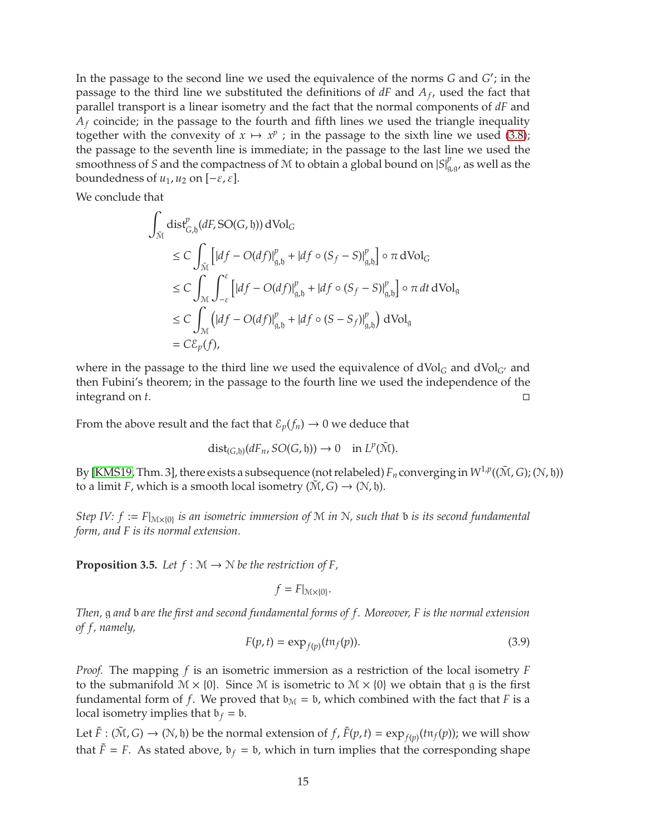<span id="page-14-2"></span>In the passage to the second line we used the equivalence of the norms *G* and *G* ′ ; in the passage to the third line we substituted the definitions of *dF* and *A<sup>f</sup>* , used the fact that parallel transport is a linear isometry and the fact that the normal components of *dF* and *A<sup>f</sup>* coincide; in the passage to the fourth and fifth lines we used the triangle inequality together with the convexity of  $x \mapsto x^p$ ; in the passage to the sixth line we used [\(3.8\)](#page-13-0); the passage to the seventh line is immediate; in the passage to the last line we used the smoothness of *S* and the compactness of *M* to obtain a global bound on  $|S|_g^p$  $_{g,g}^{\rho}$ , as well as the boundedness of  $u_1$ ,  $u_2$  on  $[-\varepsilon, \varepsilon]$ .

We conclude that

$$
\int_{\tilde{\mathcal{M}}} \text{dist}_{G,\mathfrak{h}}^{p} (dF, \text{SO}(G, \mathfrak{h})) \, d\text{Vol}_{G}
$$
\n
$$
\leq C \int_{\tilde{\mathcal{M}}} \left[ |df - O(df)|_{\mathfrak{g}, \mathfrak{h}}^{p} + |df \circ (S_f - S)|_{\mathfrak{g}, \mathfrak{h}}^{p} \right] \circ \pi \, d\text{Vol}_{G}
$$
\n
$$
\leq C \int_{\mathcal{M}} \int_{-\varepsilon}^{\varepsilon} \left[ |df - O(df)|_{\mathfrak{g}, \mathfrak{h}}^{p} + |df \circ (S_f - S)|_{\mathfrak{g}, \mathfrak{h}}^{p} \right] \circ \pi \, dt \, d\text{Vol}_{\mathfrak{g}}
$$
\n
$$
\leq C \int_{\mathcal{M}} \left( |df - O(df)|_{\mathfrak{g}, \mathfrak{h}}^{p} + |df \circ (S - S_f)|_{\mathfrak{g}, \mathfrak{h}}^{p} \right) d\text{Vol}_{\mathfrak{g}}
$$
\n
$$
= C \mathcal{E}_{p}(f),
$$

where in the passage to the third line we used the equivalence of  $dVol_G$  and  $dVol_{G'}$  and then Fubini's theorem; in the passage to the fourth line we used the independence of the integrand on *t*.

From the above result and the fact that  $\mathcal{E}_p(f_n) \to 0$  we deduce that

$$
\mathrm{dist}_{(G,\mathfrak{h})}(dF_n, SO(G,\mathfrak{h})) \to 0 \quad \text{in } L^p(\tilde{\mathcal{M}}).
$$

By [\[KMS19,](#page-31-9) Thm. 3], there exists a subsequence (not relabeled)  $F_n$  converging in  $W^{1,p}((\tilde{M},G);(\mathbb{N},\mathfrak{h}))$ to a limit *F*, which is a smooth local isometry  $(\tilde{M}, G) \rightarrow (\tilde{N}, \tilde{b})$ .

*Step IV:*  $f := F|_{M \times \{0\}}$  *is an isometric immersion of* M *in* N, such that b *is its second fundamental form, and F is its normal extension.*

<span id="page-14-1"></span>**Proposition 3.5.** Let  $f : \mathcal{M} \to \mathcal{N}$  be the restriction of F,

 $f = F|_{\mathcal{M}\times\{0\}}$ .

*Then,* g *and* b *are the first and second fundamental forms of f . Moreover, F is the normal extension of f , namely,*

<span id="page-14-0"></span>
$$
F(p, t) = \exp_{f(p)}(t\pi_f(p)).
$$
\n(3.9)

*Proof.* The mapping *f* is an isometric immersion as a restriction of the local isometry *F* to the submanifold  $\mathcal{M} \times \{0\}$ . Since  $\mathcal{M}$  is isometric to  $\mathcal{M} \times \{0\}$  we obtain that g is the first fundamental form of *f*. We proved that  $b_M = b$ , which combined with the fact that *F* is a local isometry implies that  $b_f = b$ .

Let  $\tilde{F}$  : ( $\tilde{M}$ ,  $G$ )  $\to$  ( $N$ ,  $b$ ) be the normal extension of  $f$ ,  $\tilde{F}(p,t) = \exp_{f(p)}(t\pi_f(p))$ ; we will show that  $\tilde{F} = F$ . As stated above,  $b_f = b$ , which in turn implies that the corresponding shape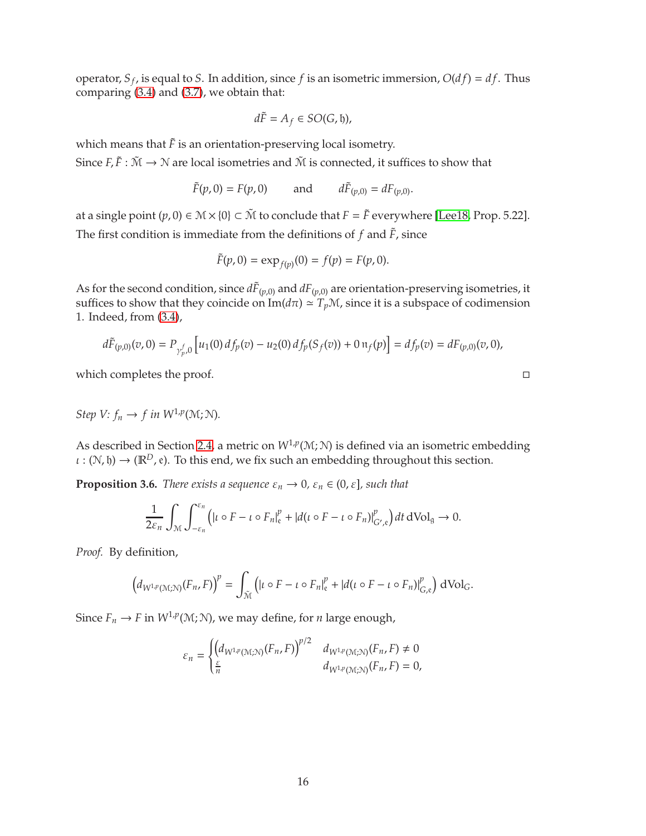<span id="page-15-1"></span>operator,  $S_f$ , is equal to *S*. In addition, since *f* is an isometric immersion,  $O(df) = df$ . Thus comparing [\(3.4\)](#page-10-0) and [\(3.7\)](#page-12-1), we obtain that:

$$
d\tilde{F}=A_f\in SO(G,\mathfrak{h}),
$$

which means that  $\tilde{F}$  is an orientation-preserving local isometry. Since  $F, \tilde{F} : \tilde{M} \to \mathbb{N}$  are local isometries and  $\tilde{M}$  is connected, it suffices to show that

> $\tilde{F}(p,0) = F(p,0)$  and  $d\tilde{F}_{(p,0)} = dF_{(p,0)}$ .

at a single point  $(p, 0) \in \mathcal{M} \times \{0\} \subset \tilde{\mathcal{M}}$  to conclude that  $F = \tilde{F}$  everywhere [\[Lee18,](#page-31-11) Prop. 5.22]. The first condition is immediate from the definitions of  $f$  and  $\tilde{F}$ , since

$$
\tilde{F}(p,0) = \exp_{f(p)}(0) = f(p) = F(p,0).
$$

As for the second condition, since  $d\tilde{F}_{(p,0)}$  and  $dF_{(p,0)}$  are orientation-preserving isometries, it suffices to show that they coincide on  $\text{Im}(d\pi) \simeq T_p\mathcal{M}$ , since it is a subspace of codimension 1. Indeed, from [\(3.4\)](#page-10-0),

$$
d\tilde{F}_{(p,0)}(v,0) = P_{\gamma_p^f,0}\left[u_1(0)\,df_p(v) - u_2(0)\,df_p(S_f(v)) + 0\,\mathfrak{n}_f(p)\right] = df_p(v) = dF_{(p,0)}(v,0),
$$

which completes the proof.  $\Box$ 

*Step V:*  $f_n \to f$  *in*  $W^{1,p}(\mathcal{M}; \mathcal{N})$ *.* 

As described in Section [2.4,](#page-8-3) a metric on  $W^{1,p}(\mathcal{M}; \mathcal{N})$  is defined via an isometric embedding  $\iota : (\mathcal{N}, \mathfrak{h}) \to (\mathbb{R}^D, \mathfrak{e})$ . To this end, we fix such an embedding throughout this section.

<span id="page-15-0"></span>**Proposition 3.6.** *There exists a sequence*  $\varepsilon_n \to 0$ ,  $\varepsilon_n \in (0, \varepsilon]$ , such that

$$
\frac{1}{2\varepsilon_n}\int_{\mathcal{M}}\int_{-\varepsilon_n}^{\varepsilon_n}\left(|\iota\circ F-\iota\circ F_n|_{\mathfrak{e}}^p+|d(\iota\circ F-\iota\circ F_n)|_{G',\mathfrak{e}}^p\right)dt\,dVol_{\mathfrak{g}}\to 0.
$$

*Proof.* By definition,

$$
\left(d_{W^{1,p}(\mathcal{M};\mathcal{N})}(F_n,F)\right)^p = \int_{\tilde{\mathcal{M}}} \left(|\iota \circ F - \iota \circ F_n|^p_{\varepsilon} + |d(\iota \circ F - \iota \circ F_n)|^p_{G,\varepsilon}\right) d\text{Vol}_G.
$$

Since  $F_n \to F$  in  $W^{1,p}(\mathcal{M}; \mathcal{N})$ , we may define, for *n* large enough,

$$
\varepsilon_n = \begin{cases} \left( d_{W^{1,p}(\mathcal{M};\mathcal{N})}(F_n,F) \right)^{p/2} & d_{W^{1,p}(\mathcal{M};\mathcal{N})}(F_n,F) \neq 0 \\ \frac{\varepsilon}{n} & d_{W^{1,p}(\mathcal{M};\mathcal{N})}(F_n,F) = 0, \end{cases}
$$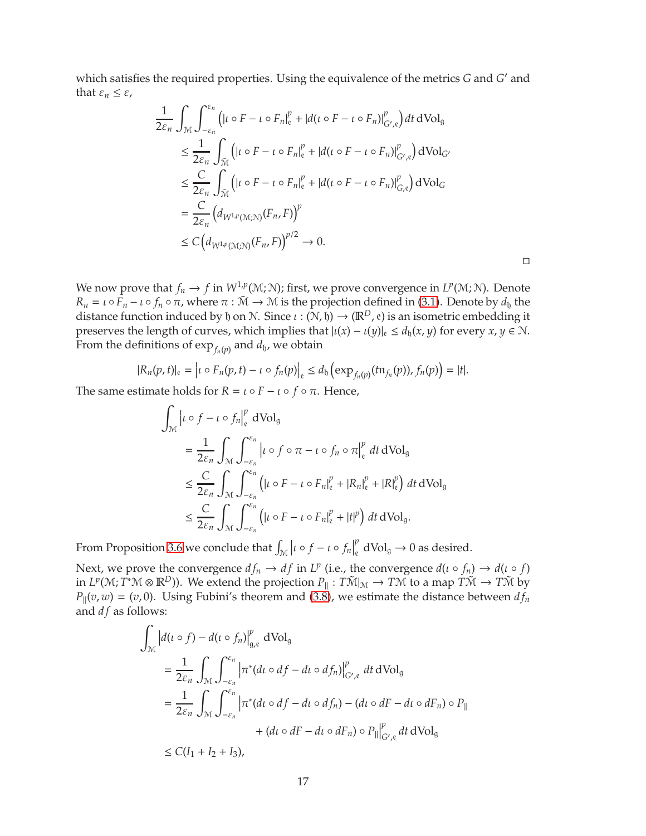which satisfies the required properties. Using the equivalence of the metrics *G* and *G* ′ and that  $\varepsilon_n \leq \varepsilon$ ,

$$
\frac{1}{2\varepsilon_n} \int_{\mathcal{M}} \int_{-\varepsilon_n}^{\varepsilon_n} \left( |t \circ F - t \circ F_n|_{\varepsilon}^p + |d(t \circ F - t \circ F_n)|_{G',\varepsilon}^p \right) dt \, dVol_g
$$
\n
$$
\leq \frac{1}{2\varepsilon_n} \int_{\tilde{\mathcal{M}}} \left( |t \circ F - t \circ F_n|_{\varepsilon}^p + |d(t \circ F - t \circ F_n)|_{G',\varepsilon}^p \right) dVol_{G'}
$$
\n
$$
\leq \frac{C}{2\varepsilon_n} \int_{\tilde{\mathcal{M}}} \left( |t \circ F - t \circ F_n|_{\varepsilon}^p + |d(t \circ F - t \circ F_n)|_{G,\varepsilon}^p \right) dVol_G
$$
\n
$$
= \frac{C}{2\varepsilon_n} \left( d_{W^{1,p}(\mathcal{M};\mathcal{N})}(F_n, F) \right)^p
$$
\n
$$
\leq C \left( d_{W^{1,p}(\mathcal{M};\mathcal{N})}(F_n, F) \right)^{p/2} \to 0.
$$

 $\Box$ 

We now prove that  $f_n \to f$  in  $W^{1,p}(M;N)$ ; first, we prove convergence in  $L^p(M;N)$ . Denote  $R_n = \iota \circ \bar{F}_n - \iota \circ f_n \circ \pi$ , where  $\pi : \tilde{M} \to M$  is the projection defined in [\(3.1\)](#page-10-2). Denote by  $d_b$  the distance function induced by h on N. Since  $\iota : (N, \mathfrak{h}) \to (\mathbb{R}^D, e)$  is an isometric embedding it preserves the length of curves, which implies that  $|u(x) - u(y)|_{e} \le d_{h}(x, y)$  for every  $x, y \in \mathbb{N}$ . From the definitions of  $\exp_{f_n(p)}$  and  $d_{{\mathfrak h} }$ , we obtain

$$
|R_n(p,t)|_{\mathfrak{e}} = \left| \iota \circ F_n(p,t) - \iota \circ f_n(p) \right|_{\mathfrak{e}} \leq d_{\mathfrak{h}} \left( \exp_{f_n(p)}(t\mathfrak{n}_{f_n}(p)), f_n(p) \right) = |t|.
$$

The same estimate holds for  $R = \iota \circ F - \iota \circ f \circ \pi$ . Hence,

$$
\int_{\mathcal{M}} \left| \iota \circ f - \iota \circ f_{n} \right|_{\mathfrak{e}}^{\rho} dVol_{g}
$$
\n
$$
= \frac{1}{2\varepsilon_{n}} \int_{\mathcal{M}} \int_{-\varepsilon_{n}}^{\varepsilon_{n}} \left| \iota \circ f \circ \pi - \iota \circ f_{n} \circ \pi \right|_{\mathfrak{e}}^{\rho} dt dVol_{g}
$$
\n
$$
\leq \frac{C}{2\varepsilon_{n}} \int_{\mathcal{M}} \int_{-\varepsilon_{n}}^{\varepsilon_{n}} \left( |\iota \circ F - \iota \circ F_{n}|_{\mathfrak{e}}^{\rho} + |R_{n}|_{\mathfrak{e}}^{\rho} + |R|_{\mathfrak{e}}^{p} \right) dt dVol_{g}
$$
\n
$$
\leq \frac{C}{2\varepsilon_{n}} \int_{\mathcal{M}} \int_{-\varepsilon_{n}}^{\varepsilon_{n}} \left( |\iota \circ F - \iota \circ F_{n}|_{\mathfrak{e}}^{\rho} + |t|^{p} \right) dt dVol_{g}.
$$

From Proposition [3.6](#page-15-0) we conclude that  $\int_{\mathcal{M}} |t \circ f - t \circ f_n|$ *p*  $\int_{\mathfrak{e}}^r dVol_{\mathfrak{g}} \to 0$  as desired.

Next, we prove the convergence  $df_n \to df$  in  $L^p$  (i.e., the convergence  $d(\iota \circ f_n) \to d(\iota \circ f)$ in  $L^p(\mathcal{M}; T^*\mathcal{M} \otimes \mathbb{R}^D)$ ). We extend the projection  $P_{\parallel}: T\mathcal{M}|_{\mathcal{M}} \to T\mathcal{M}$  to a map  $T\mathcal{M} \to T\mathcal{M}$  by  $P_{\parallel}(v, w) = (v, 0)$ . Using Fubini's theorem and [\(3.8\)](#page-13-0), we estimate the distance between  $df_n$ and *df* as follows:

$$
\int_{\mathcal{M}} \left| d(\iota \circ f) - d(\iota \circ f_{n}) \right|_{g,e}^{p} dVol_{g}
$$
\n
$$
= \frac{1}{2\varepsilon_{n}} \int_{\mathcal{M}} \int_{-\varepsilon_{n}}^{\varepsilon_{n}} \left| \pi^{*}(d\iota \circ df - d\iota \circ df_{n}) \right|_{G^{\prime},e}^{p} dt dVol_{g}
$$
\n
$$
= \frac{1}{2\varepsilon_{n}} \int_{\mathcal{M}} \int_{-\varepsilon_{n}}^{\varepsilon_{n}} \left| \pi^{*}(d\iota \circ df - d\iota \circ df_{n}) - (d\iota \circ dF - d\iota \circ dF_{n}) \circ P_{\parallel} \right|
$$
\n
$$
+ (d\iota \circ dF - d\iota \circ dF_{n}) \circ P_{\parallel}|_{G^{\prime},e}^{p} dt dVol_{g}
$$
\n
$$
\leq C(I_{1} + I_{2} + I_{3}),
$$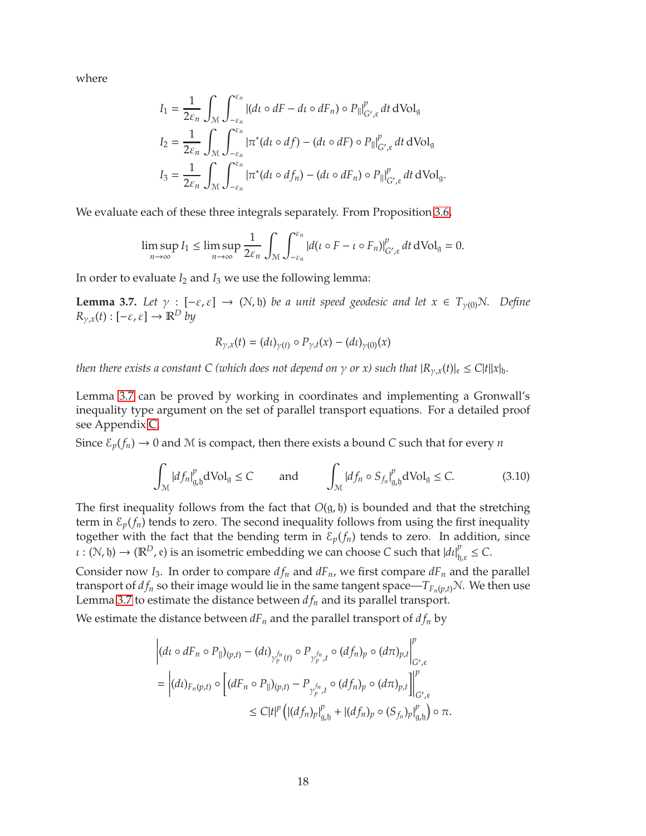where

$$
I_1 = \frac{1}{2\varepsilon_n} \int_{\mathcal{M}} \int_{-\varepsilon_n}^{\varepsilon_n} |(dt \circ dF - dt \circ dF_n) \circ P_{\parallel}|_{G',\varepsilon}^p dt dVol_g
$$
  
\n
$$
I_2 = \frac{1}{2\varepsilon_n} \int_{\mathcal{M}} \int_{-\varepsilon_n}^{\varepsilon_n} |\pi^*(dt \circ df) - (dt \circ dF) \circ P_{\parallel}|_{G',\varepsilon}^p dt dVol_g
$$
  
\n
$$
I_3 = \frac{1}{2\varepsilon_n} \int_{\mathcal{M}} \int_{-\varepsilon_n}^{\varepsilon_n} |\pi^*(dt \circ df_n) - (dt \circ dF_n) \circ P_{\parallel}|_{G',\varepsilon}^p dt dVol_g.
$$

We evaluate each of these three integrals separately. From Proposition [3.6,](#page-15-0)

$$
\limsup_{n\to\infty} I_1 \le \limsup_{n\to\infty} \frac{1}{2\varepsilon_n} \int_{\mathcal{M}} \int_{-\varepsilon_n}^{\varepsilon_n} |d(\iota \circ F - \iota \circ F_n)|_{G',\mathfrak{e}}^p dt dVol_{\mathfrak{g}} = 0.
$$

In order to evaluate *I*<sup>2</sup> and *I*<sup>3</sup> we use the following lemma:

<span id="page-17-0"></span>**Lemma 3.7.** *Let*  $\gamma : [-\varepsilon, \varepsilon] \to (\mathcal{N}, \mathfrak{h})$  *be a unit speed geodesic and let*  $x \in T_{\gamma(0)}\mathcal{N}$ *. Define*  $R_{\gamma,x}(t): [-\varepsilon, \varepsilon] \to \mathbb{R}^D$  *by* 

$$
R_{\gamma,x}(t) = (dt)_{\gamma(t)} \circ P_{\gamma,t}(x) - (dt)_{\gamma(0)}(x)
$$

*then there exists a constant C (which does not depend on*  $\gamma$  *or x) such that*  $|R_{\gamma,x}(t)|_{\epsilon} \leq C|t||x|_{\mathfrak{h}}$ .

Lemma [3.7](#page-17-0) can be proved by working in coordinates and implementing a Gronwall's inequality type argument on the set of parallel transport equations. For a detailed proof see Appendix [C.](#page-26-0)

Since  $\mathcal{E}_p(f_n) \to 0$  and M is compact, then there exists a bound *C* such that for every *n* 

<span id="page-17-1"></span>
$$
\int_{\mathcal{M}} |df_n|_{g,b}^p \, dVol_g \le C \qquad \text{and} \qquad \int_{\mathcal{M}} |df_n \circ S_{f_n}|_{g,b}^p \, dVol_g \le C. \tag{3.10}
$$

The first inequality follows from the fact that  $O(g, \mathfrak{h})$  is bounded and that the stretching term in  $\mathcal{E}_p(f_n)$  tends to zero. The second inequality follows from using the first inequality together with the fact that the bending term in  $\mathcal{E}_p(f_n)$  tends to zero. In addition, since  $\iota : (N, \mathfrak{h}) \to (\mathbb{R}^D, \mathfrak{e})$  is an isometric embedding we can choose *C* such that  $|d\iota|_{\mathfrak{h}}^p$  $_{\mathfrak{h},\mathfrak{e}}^{\mathfrak{p}} \leq C.$ 

Consider now *I*<sub>3</sub>. In order to compare  $df_n$  and  $dF_n$ , we first compare  $dF_n$  and the parallel transport of  $df_n$  so their image would lie in the same tangent space— $T_{F_n(p,t)}N$ . We then use Lemma [3.7](#page-17-0) to estimate the distance between  $df_n$  and its parallel transport.

We estimate the distance between  $dF_n$  and the parallel transport of  $df_n$  by

$$
\left| (d\iota \circ dF_n \circ P_{\parallel})(p,t) - (d\iota)_{\gamma_p^{fn}(t)} \circ P_{\gamma_p^{fn},t} \circ (df_n)_p \circ (d\pi)_{p,t} \right|_{G',\epsilon}^p
$$
  
= 
$$
\left| (d\iota)_{F_n(p,t)} \circ \left[ (dF_n \circ P_{\parallel})(p,t) - P_{\gamma_p^{fn},t} \circ (df_n)_p \circ (d\pi)_{p,t} \right] \right|_{G',\epsilon}^p
$$
  

$$
\leq C|t|^p \left( |(df_n)_p|_{g,b}^p + |(df_n)_p \circ (S_{f_n})_p|_{g,b}^p \right) \circ \pi.
$$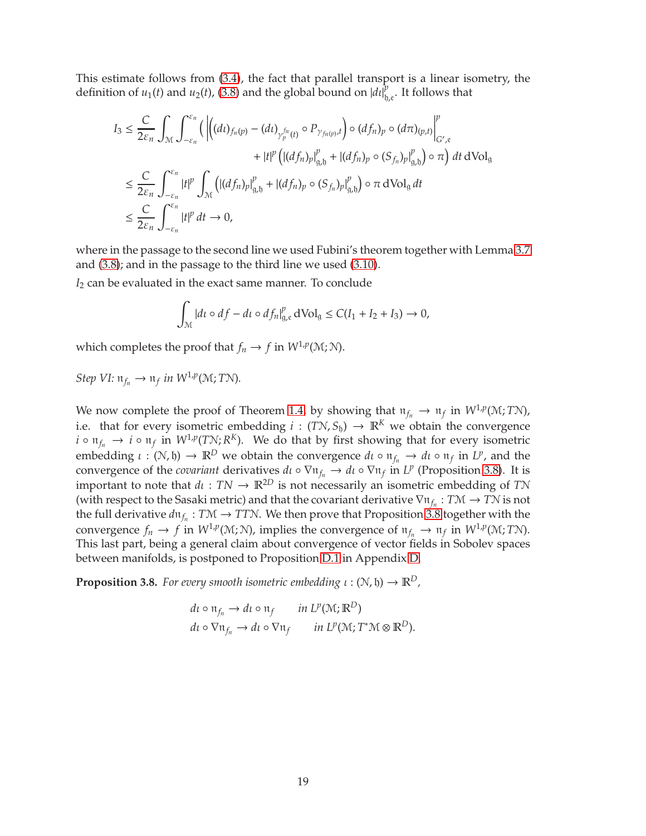This estimate follows from [\(3.4\)](#page-10-0), the fact that parallel transport is a linear isometry, the definition of  $u_1(t)$  and  $u_2(t)$ , [\(3.8\)](#page-13-0) and the global bound on  $\left| d \right|_{t_0}^{p}$  $_{\mathfrak{h},\mathfrak{e}}^{\rho}.$  It follows that

$$
I_{3} \leq \frac{C}{2\varepsilon_{n}} \int_{\mathcal{M}} \int_{-\varepsilon_{n}}^{\varepsilon_{n}} \left( \left| \left( (dt)_{f_{n}(p)} - (dt)_{\gamma_{p}^{fn}(t)} \circ P_{\gamma_{f_{n}(p)},t} \right) \circ (df_{n})_{p} \circ (d\pi)_{(p,t)} \right|_{G',\varepsilon}^{p} \right) dt dVol_{\mathfrak{g}} \n\leq \frac{C}{2\varepsilon_{n}} \int_{-\varepsilon_{n}}^{\varepsilon_{n}} |t|^{p} \int_{\mathcal{M}} \left( |(df_{n})_{p}|_{g,b}^{p} + |(df_{n})_{p} \circ (S_{f_{n}})_{p}|_{g,b}^{p} \right) \circ \pi dVol_{\mathfrak{g}} dt \n\leq \frac{C}{2\varepsilon_{n}} \int_{-\varepsilon_{n}}^{\varepsilon_{n}} |t|^{p} dt \to 0,
$$

where in the passage to the second line we used Fubini's theorem together with Lemma [3.7](#page-17-0) and [\(3.8\)](#page-13-0); and in the passage to the third line we used [\(3.10\)](#page-17-1).

*I*<sup>2</sup> can be evaluated in the exact same manner. To conclude

$$
\int_{\mathcal{M}} |dt \circ df - dt \circ df_{n}|_{g,e}^{p} d\mathrm{Vol}_{g} \le C(I_{1} + I_{2} + I_{3}) \to 0,
$$

which completes the proof that  $f_n \to f$  in  $W^{1,p}(\mathcal{M}; \mathcal{N})$ .

*Step VI:*  $\mathfrak{n}_{f_n} \to \mathfrak{n}_f$  *in W*<sup>1,*p*</sup>(M; *T*N).

We now complete the proof of Theorem [1.4,](#page-2-2) by showing that  $\mathfrak{n}_{f_n} \to \mathfrak{n}_f$  in  $W^{1,p}(\mathcal{M};T\mathcal{N})$ , i.e. that for every isometric embedding  $i : (TN, S_{\mathfrak{h}}) \to \mathbb{R}^K$  we obtain the convergence  $i \circ n_{f_n} \to i \circ n_f$  in  $W^{1,p}(T\mathcal{N}; R^K)$ . We do that by first showing that for every isometric embedding  $\iota : (\mathcal{N}, \mathfrak{h}) \to \mathbb{R}^D$  we obtain the convergence  $d\iota \circ \mathfrak{n}_{f_n} \to d\iota \circ \mathfrak{n}_f$  in  $L^p$ , and the convergence of the *covariant* derivatives  $d\iota \circ \nabla \pi_{f_n} \to d\iota \circ \nabla \pi_f$  in  $L^p$  (Proposition [3.8\)](#page-18-0). It is important to note that  $d\iota$  :  $TN \to \mathbb{R}^{2D}$  is not necessarily an isometric embedding of *TN* (with respect to the Sasaki metric) and that the covariant derivative ∇n*f<sup>n</sup>* : *<sup>T</sup>*<sup>M</sup> <sup>→</sup> *<sup>T</sup>*<sup>N</sup> is not the full derivative  $d\mathfrak{n}_{f_n}: T\mathfrak{M} \to T\mathfrak{N}$ . We then prove that Proposition [3.8](#page-18-0) together with the convergence  $f_n \to f$  in  $W^{1,p}(\mathcal{M}; \mathcal{N})$ , implies the convergence of  $\mathfrak{n}_{f_n} \to \mathfrak{n}_f$  in  $W^{1,p}(\mathcal{M}; T\mathcal{N})$ . This last part, being a general claim about convergence of vector fields in Sobolev spaces between manifolds, is postponed to Proposition [D.1](#page-27-0) in Appendix [D.](#page-27-1)

<span id="page-18-0"></span>**Proposition 3.8.** *For every smooth isometric embedding*  $\iota : (\mathcal{N}, \mathfrak{h}) \to \mathbb{R}^D$ *,* 

$$
d\iota \circ \mathfrak{n}_{f_n} \to d\iota \circ \mathfrak{n}_f \quad in \, L^p(\mathcal{M}; \mathbb{R}^D)
$$

$$
d\iota \circ \nabla \mathfrak{n}_{f_n} \to d\iota \circ \nabla \mathfrak{n}_f \quad in \, L^p(\mathcal{M}; T^*\mathcal{M} \otimes \mathbb{R}^D).
$$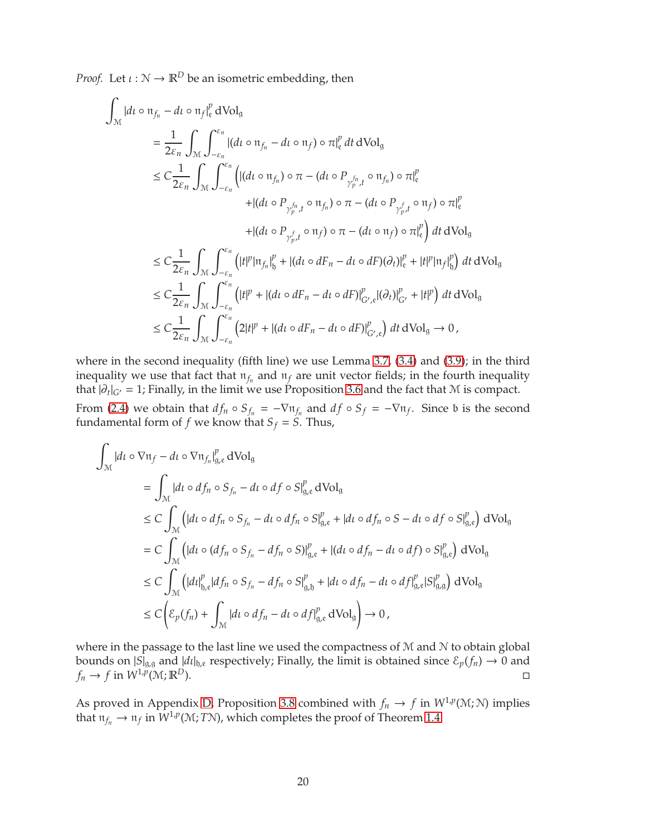*Proof.* Let  $\iota : \mathbb{N} \to \mathbb{R}^D$  be an isometric embedding, then

$$
\int_{\mathcal{M}} |dt \circ \pi_{f_n} - dt \circ \pi_f|_{\epsilon}^p dVol_g
$$
\n
$$
= \frac{1}{2\varepsilon_n} \int_{\mathcal{M}} \int_{-\varepsilon_n}^{\varepsilon_n} |(dt \circ \pi_{f_n} - dt \circ \pi_f) \circ \pi|_{\epsilon}^p dt dVol_g
$$
\n
$$
\leq C \frac{1}{2\varepsilon_n} \int_{\mathcal{M}} \int_{-\varepsilon_n}^{\varepsilon_n} \left( |(dt \circ \pi_{f_n}) \circ \pi - (dt \circ P_{\gamma_p^{f_n}, t} \circ \pi_{f_n}) \circ \pi|_{\epsilon}^p \right. \\
\left. + |(dt \circ P_{\gamma_p^{f_n}, t} \circ \pi_{f_n}) \circ \pi - (dt \circ P_{\gamma_{p}^{f_n}, t} \circ \pi_f) \circ \pi|_{\epsilon}^p \right. \\
\left. + |(dt \circ P_{\gamma_{p}^{f_n}, t} \circ \pi_{f}) \circ \pi - (dt \circ \pi_{f}) \circ \pi|_{\epsilon}^p \right) dt dVol_g
$$
\n
$$
\leq C \frac{1}{2\varepsilon_n} \int_{\mathcal{M}} \int_{-\varepsilon_n}^{\varepsilon_n} \left( |t|^p |\pi_{f_n}|_{\delta}^p + |(dt \circ dF_n - dt \circ dF)(\partial_t) |_{\epsilon}^p + |t|^p |\pi_f|_{\delta}^p \right) dt dVol_g
$$
\n
$$
\leq C \frac{1}{2\varepsilon_n} \int_{\mathcal{M}} \int_{-\varepsilon_n}^{\varepsilon_n} \left( |t|^p + |(dt \circ dF_n - dt \circ dF)|_{G',\epsilon}^p |(\partial_t) |_{G'}^p + |t|^p \right) dt dVol_g
$$
\n
$$
\leq C \frac{1}{2\varepsilon_n} \int_{\mathcal{M}} \int_{-\varepsilon_n}^{\varepsilon_n} \left( 2|t|^p + |(dt \circ dF_n - dt \circ dF)|_{G',\epsilon}^p \right) dt dVol_g \to 0,
$$

where in the second inequality (fifth line) we use Lemma [3.7,](#page-17-0) [\(3.4\)](#page-10-0) and [\(3.9\)](#page-14-0); in the third inequality we use that fact that  $\mathfrak{n}_{f_n}$  and  $\mathfrak{n}_f$  are unit vector fields; in the fourth inequality that  $|\partial_t|_{G'} = 1$ ; Finally, in the limit we use Proposition [3.6](#page-15-0) and the fact that M is compact. From [\(2.4\)](#page-9-1) we obtain that  $df_n \circ S_{f_n} = -\nabla \mathfrak{n}_{f_n}$  and  $df \circ S_f = -\nabla \mathfrak{n}_f$ . Since b is the second fundamental form of  $f$  we know that  $S_f = S$ . Thus,

$$
\int_{\mathcal{M}} |dt \circ \nabla \mathfrak{n}_f - dt \circ \nabla \mathfrak{n}_{f_n}|_{g,e}^p dVol_g
$$
\n
$$
= \int_{\mathcal{M}} |dt \circ df_n \circ S_{f_n} - dt \circ df \circ S|_{g,e}^p dVol_g
$$
\n
$$
\leq C \int_{\mathcal{M}} \left( |dt \circ df_n \circ S_{f_n} - dt \circ df_n \circ S|_{g,e}^p + |dt \circ df_n \circ S - dt \circ df \circ S|_{g,e}^p \right) dVol_g
$$
\n
$$
= C \int_{\mathcal{M}} \left( |dt \circ (df_n \circ S_{f_n} - df_n \circ S)|_{g,e}^p + |(dt \circ df_n - dt \circ df) \circ S|_{g,e}^p \right) dVol_g
$$
\n
$$
\leq C \int_{\mathcal{M}} \left( |dt|_{g,e}^p |df_n \circ S_{f_n} - df_n \circ S|_{g,b}^p + |dt \circ df_n - dt \circ df|_{g,e}^p |S|_{g,g}^p \right) dVol_g
$$
\n
$$
\leq C \left( \mathcal{E}_p(f_n) + \int_{\mathcal{M}} |dt \circ df_n - dt \circ df|_{g,e}^p dVol_g \right) \to 0,
$$

where in the passage to the last line we used the compactness of  $M$  and  $N$  to obtain global bounds on  $|S|_{g,g}$  and  $|dt|_{g,e}$  respectively; Finally, the limit is obtained since  $\mathcal{E}_p(f_n) \to 0$  and  $f_n \to f$  in  $W^{1,p}(\mathcal{M};\mathbb{R}^D)$ .

As proved in Appendix [D,](#page-27-1) Proposition [3.8](#page-18-0) combined with  $f_n \to f$  in  $W^{1,p}(\mathcal{M}; \mathcal{N})$  implies that  $\mathfrak{n}_{f_n} \to \mathfrak{n}_f$  in  $W^{1,p}(\mathcal{M};T\mathcal{N})$ , which completes the proof of Theorem [1.4.](#page-2-2)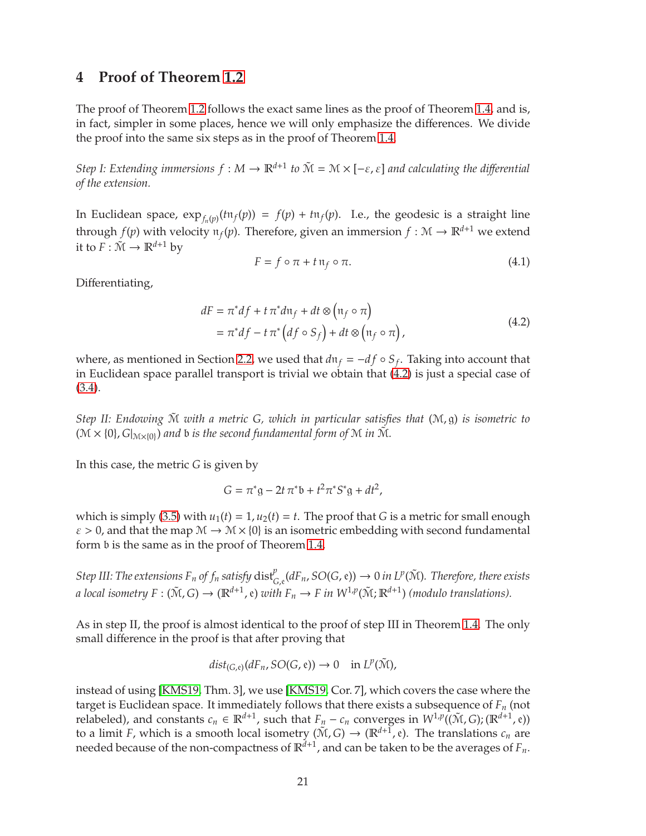## <span id="page-20-2"></span><span id="page-20-0"></span>**4 Proof of Theorem [1.2](#page-2-0)**

The proof of Theorem [1.2](#page-2-0) follows the exact same lines as the proof of Theorem [1.4,](#page-2-2) and is, in fact, simpler in some places, hence we will only emphasize the differences. We divide the proof into the same six steps as in the proof of Theorem [1.4.](#page-2-2)

*Step I: Extending immersions*  $f : M \to \mathbb{R}^{d+1}$  to  $\tilde{M} = M \times [-\varepsilon, \varepsilon]$  and calculating the differential *of the extension.*

In Euclidean space,  $\exp_{f_n(p)}(t\pi_f(p)) = f(p) + t\pi_f(p)$ . I.e., the geodesic is a straight line through  $f(p)$  with velocity  $\pi_f(p)$ . Therefore, given an immersion  $f : \mathcal{M} \to \mathbb{R}^{d+1}$  we extend it to  $F: \tilde{\mathcal{M}} \to \mathbb{R}^{d+1}$  by

$$
F = f \circ \pi + t \operatorname{n_f} \circ \pi. \tag{4.1}
$$

<span id="page-20-1"></span>Differentiating,

$$
dF = \pi^* df + t \pi^* d\mathfrak{n}_f + dt \otimes (\mathfrak{n}_f \circ \pi)
$$
  
=  $\pi^* df - t \pi^* (df \circ S_f) + dt \otimes (\mathfrak{n}_f \circ \pi),$  (4.2)

where, as mentioned in Section [2.2,](#page-6-0) we used that  $d\mathfrak{n}_f = -df \circ S_f$ . Taking into account that in Euclidean space parallel transport is trivial we obtain that [\(4.2\)](#page-20-1) is just a special case of [\(3.4\)](#page-10-0).

*Step II: Endowing* M˜ *with a metric G, which in particular satisfies that* (M, g) *is isometric to*  $(\mathcal{M} \times \{0\}, G|_{\mathcal{M} \times \{0\}})$  and b *is the second fundamental form of*  $\mathcal{M}$  *in*  $\tilde{\mathcal{M}}$ *.* 

In this case, the metric *G* is given by

$$
G = \pi^* g - 2t \pi^* b + t^2 \pi^* S^* g + dt^2,
$$

which is simply [\(3.5\)](#page-12-2) with  $u_1(t) = 1$ ,  $u_2(t) = t$ . The proof that *G* is a metric for small enough  $\varepsilon > 0$ , and that the map  $\mathcal{M} \to \mathcal{M} \times \{0\}$  is an isometric embedding with second fundamental form b is the same as in the proof of Theorem [1.4.](#page-2-2)

 $Step$  III: The extensions  $F_n$  of  $f_n$  satisfy  $dist^p_{G,e}(dF_n,SO(G,e)) \to 0$  in  $L^p(\tilde{\mathcal{M}})$ . Therefore, there exists *a* local isometry  $F : (\tilde{M}, G) \to (\mathbb{R}^{d+1}, \mathfrak{e})$  with  $F_n \to F$  in  $W^{1,p}(\tilde{M}; \mathbb{R}^{d+1})$  (modulo translations).

As in step II, the proof is almost identical to the proof of step III in Theorem [1.4.](#page-2-2) The only small difference in the proof is that after proving that

$$
dist_{(G,\mathfrak{e})}(dF_n,SO(G,\mathfrak{e}))\to 0\quad\text{in }L^p(\tilde{\mathcal{M}}),
$$

instead of using [\[KMS19,](#page-31-9) Thm. 3], we use [\[KMS19,](#page-31-9) Cor. 7], which covers the case where the target is Euclidean space. It immediately follows that there exists a subsequence of *F<sup>n</sup>* (not relabeled), and constants  $c_n \in \mathbb{R}^{d+1}$ , such that  $F_n - c_n$  converges in  $W^{1,p}((\tilde{M}, G); (\mathbb{R}^{d+1}, \varepsilon))$ to a limit *F*, which is a smooth local isometry  $(\tilde{M}, G) \to (\mathbb{R}^{d+1}, \mathfrak{e})$ . The translations  $c_n$  are needed because of the non-compactness of R*d*+<sup>1</sup> , and can be taken to be the averages of *Fn*.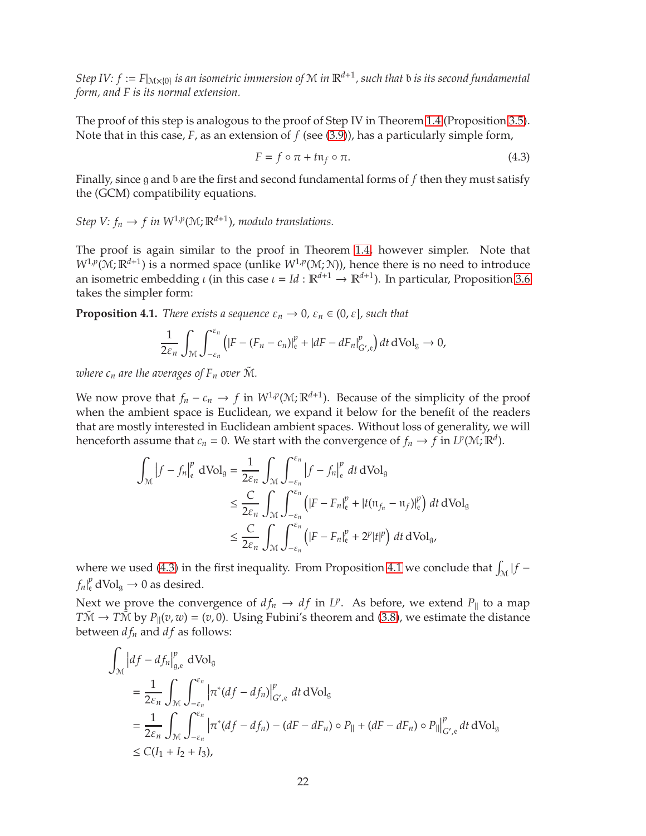$Step IV: f := F|_{\mathcal{M} \times \{0\}}$  *is an isometric immersion of*  $\mathcal M$  *in*  $\mathbb R^{d+1}$ *, such that*  $\mathfrak b$  *is its second fundamental form, and F is its normal extension.*

The proof of this step is analogous to the proof of Step IV in Theorem [1.4](#page-2-2) (Proposition [3.5\)](#page-14-1). Note that in this case, *F*, as an extension of *f* (see [\(3.9\)](#page-14-0)), has a particularly simple form,

<span id="page-21-0"></span>
$$
F = f \circ \pi + t \mathfrak{n}_f \circ \pi. \tag{4.3}
$$

Finally, since g and b are the first and second fundamental forms of *f* then they must satisfy the (GCM) compatibility equations.

*Step V:*  $f_n \to f$  *in*  $W^{1,p}(M; \mathbb{R}^{d+1})$ *, modulo translations.* 

The proof is again similar to the proof in Theorem [1.4,](#page-2-2) however simpler. Note that  $W^{1,p}(\mathcal{M};\mathbb{R}^{d+1})$  is a normed space (unlike  $W^{1,p}(\mathcal{M};\mathcal{N})$ ), hence there is no need to introduce an isometric embedding *ι* (in this case  $\iota = Id : \mathbb{R}^{d+1} \to \mathbb{R}^{d+1}$ ). In particular, Proposition [3.6](#page-15-0) takes the simpler form:

<span id="page-21-1"></span>**Proposition 4.1.** *There exists a sequence*  $\varepsilon_n \to 0$ ,  $\varepsilon_n \in (0, \varepsilon]$ , such that

$$
\frac{1}{2\varepsilon_n}\int_{\mathcal{M}}\int_{-\varepsilon_n}^{\varepsilon_n}\left(|F-(F_n-c_n)|_{\mathfrak{e}}^p+|dF-dF_n|_{G',\mathfrak{e}}^p\right)dt\,dVol_{\mathfrak{g}}\to 0,
$$

*where*  $c_n$  *are the averages of*  $F_n$  *over*  $\tilde{M}$ *.* 

We now prove that  $f_n - c_n \to f$  in  $W^{1,p}(\mathcal{M}; \mathbb{R}^{d+1})$ . Because of the simplicity of the proof when the ambient space is Euclidean, we expand it below for the benefit of the readers that are mostly interested in Euclidean ambient spaces. Without loss of generality, we will henceforth assume that  $c_n = 0$ . We start with the convergence of  $f_n \to f$  in  $L^p(\mathcal{M}; \mathbb{R}^d)$ .

$$
\int_{\mathcal{M}} \left| f - f_n \right|_{\mathbf{e}}^p \, d\text{Vol}_{\mathbf{g}} = \frac{1}{2\varepsilon_n} \int_{\mathcal{M}} \int_{-\varepsilon_n}^{\varepsilon_n} \left| f - f_n \right|_{\mathbf{e}}^p \, dt \, d\text{Vol}_{\mathbf{g}} \\
\leq \frac{C}{2\varepsilon_n} \int_{\mathcal{M}} \int_{-\varepsilon_n}^{\varepsilon_n} \left( |F - F_n|_{\mathbf{e}}^p + |t(\mathfrak{n}_{f_n} - \mathfrak{n}_f)|_{\mathbf{e}}^p \right) \, dt \, d\text{Vol}_{\mathbf{g}} \\
\leq \frac{C}{2\varepsilon_n} \int_{\mathcal{M}} \int_{-\varepsilon_n}^{\varepsilon_n} \left( |F - F_n|_{\mathbf{e}}^p + 2^p |t|^p \right) \, dt \, d\text{Vol}_{\mathbf{g}},
$$

where we used [\(4.3\)](#page-21-0) in the first inequality. From Proposition [4.1](#page-21-1) we conclude that  $\int_M |f - f|$  $f_n|_{\mathfrak{e}}^p$  dVol<sub>g</sub>  $\rightarrow 0$  as desired.

Next we prove the convergence of  $df_n \to df$  in  $L^p$ . As before, we extend  $P_{\parallel}$  to a map  $T\tilde{M} \to T\tilde{M}$  by  $P_{\parallel}(v, w) = (v, 0)$ . Using Fubini's theorem and [\(3.8\)](#page-13-0), we estimate the distance between  $df_n$  and  $df$  as follows:

$$
\int_{\mathcal{M}} |df - df_n|_{g,e}^p \, dVol_g
$$
\n  
\n
$$
= \frac{1}{2\varepsilon_n} \int_{\mathcal{M}} \int_{-\varepsilon_n}^{\varepsilon_n} |\pi^*(df - df_n)|_{G',e}^p \, dt \, dVol_g
$$
\n  
\n
$$
= \frac{1}{2\varepsilon_n} \int_{\mathcal{M}} \int_{-\varepsilon_n}^{\varepsilon_n} |\pi^*(df - df_n) - (dF - dF_n) \circ P_{\parallel} + (dF - dF_n) \circ P_{\parallel}|_{G',e}^p \, dt \, dVol_g
$$
\n  
\n
$$
\leq C(I_1 + I_2 + I_3),
$$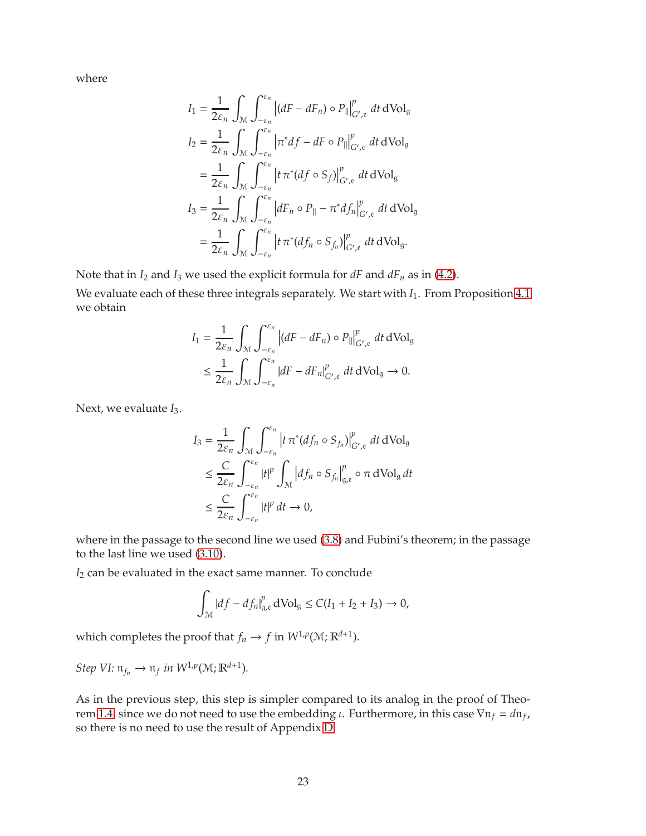where

$$
I_1 = \frac{1}{2\varepsilon_n} \int_{\mathcal{M}} \int_{-\varepsilon_n}^{\varepsilon_n} |(dF - dF_n) \circ P_{\parallel}|_{G',\varepsilon}^p dt dVol_g
$$
  
\n
$$
I_2 = \frac{1}{2\varepsilon_n} \int_{\mathcal{M}} \int_{-\varepsilon_n}^{\varepsilon_n} |\pi^* df - dF \circ P_{\parallel}|_{G',\varepsilon}^p dt dVol_g
$$
  
\n
$$
= \frac{1}{2\varepsilon_n} \int_{\mathcal{M}} \int_{-\varepsilon_n}^{\varepsilon_n} |t \pi^* (df \circ S_f)|_{G',\varepsilon}^p dt dVol_g
$$
  
\n
$$
I_3 = \frac{1}{2\varepsilon_n} \int_{\mathcal{M}} \int_{-\varepsilon_n}^{\varepsilon_n} |dF_n \circ P_{\parallel} - \pi^* df_n|_{G',\varepsilon}^p dt dVol_g
$$
  
\n
$$
= \frac{1}{2\varepsilon_n} \int_{\mathcal{M}} \int_{-\varepsilon_n}^{\varepsilon_n} |t \pi^* (df_n \circ S_{f_n})|_{G',\varepsilon}^p dt dVol_g.
$$

Note that in  $I_2$  and  $I_3$  we used the explicit formula for  $dF$  and  $dF_n$  as in [\(4.2\)](#page-20-1).

We evaluate each of these three integrals separately. We start with *I*<sub>1</sub>. From Proposition [4.1](#page-21-1) we obtain

$$
I_1 = \frac{1}{2\varepsilon_n} \int_{\mathcal{M}} \int_{-\varepsilon_n}^{\varepsilon_n} \left| (dF - dF_n) \circ P_{\parallel} \right|_{G', \mathfrak{e}}^p dt \, dVol_{\mathfrak{g}}
$$
  

$$
\leq \frac{1}{2\varepsilon_n} \int_{\mathcal{M}} \int_{-\varepsilon_n}^{\varepsilon_n} |dF - dF_n|_{G', \mathfrak{e}}^p dt \, dVol_{\mathfrak{g}} \to 0.
$$

Next, we evaluate *I*3.

$$
I_3 = \frac{1}{2\varepsilon_n} \int_{\mathcal{M}} \int_{-\varepsilon_n}^{\varepsilon_n} \left| t \pi^* (df_n \circ S_{f_n}) \right|_{G',\mathfrak{e}}^p dt dVol_g
$$
  
\n
$$
\leq \frac{C}{2\varepsilon_n} \int_{-\varepsilon_n}^{\varepsilon_n} |t|^p \int_{\mathcal{M}} \left| df_n \circ S_{f_n} \right|_{g,\mathfrak{e}}^p \circ \pi dVol_g dt
$$
  
\n
$$
\leq \frac{C}{2\varepsilon_n} \int_{-\varepsilon_n}^{\varepsilon_n} |t|^p dt \to 0,
$$

where in the passage to the second line we used [\(3.8\)](#page-13-0) and Fubini's theorem; in the passage to the last line we used [\(3.10\)](#page-17-1).

*I*<sup>2</sup> can be evaluated in the exact same manner. To conclude

$$
\int_{\mathcal{M}} |df - df_n|_{g,e}^p \, d\text{Vol}_g \le C(I_1 + I_2 + I_3) \to 0,
$$

which completes the proof that  $f_n \to f$  in  $W^{1,p}(\mathcal{M}; \mathbb{R}^{d+1})$ .

 $Step \ VI: \mathfrak{n}_{f_n} \to \mathfrak{n}_f \ in \ W^{1,p}(\mathfrak{M}; \mathbb{R}^{d+1}).$ 

As in the previous step, this step is simpler compared to its analog in the proof of Theo-rem [1.4,](#page-2-2) since we do not need to use the embedding *ι*. Furthermore, in this case  $\nabla n_f = d n_f$ , so there is no need to use the result of Appendix [D.](#page-27-1)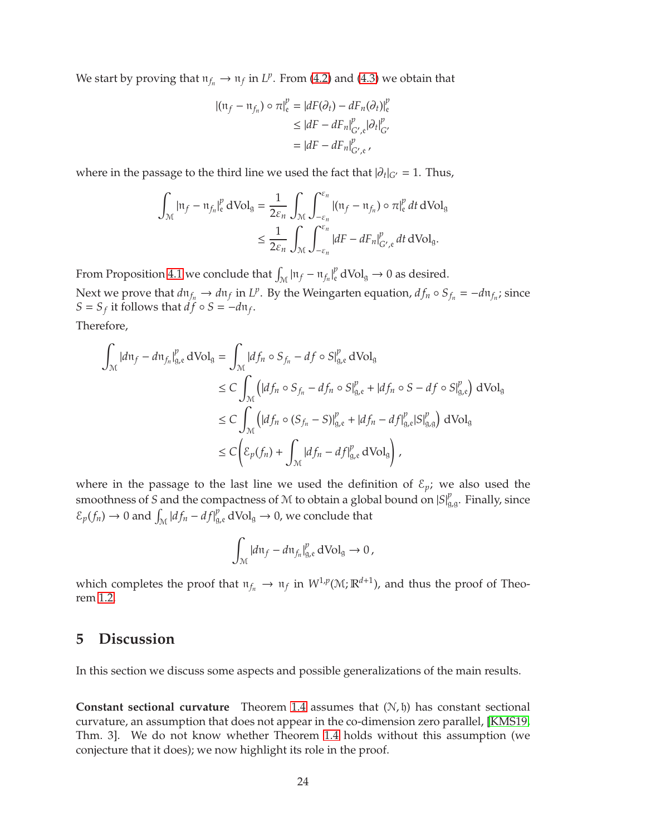<span id="page-23-1"></span>We start by proving that  $n_{f_n} \to n_f$  in  $L^p$ . From [\(4.2\)](#page-20-1) and [\(4.3\)](#page-21-0) we obtain that

$$
|(n_f - n_{f_n}) \circ \pi|_{e}^{p} = |dF(\partial_t) - dF_n(\partial_t)|_{e}^{p}
$$
  
\n
$$
\leq |dF - dF_n|_{G',e}^{p} |\partial_t|_{G'}^{p}
$$
  
\n
$$
= |dF - dF_n|_{G',e}^{p}
$$

where in the passage to the third line we used the fact that  $|\partial_t|_{G'} = 1$ . Thus,

$$
\int_{\mathcal{M}} |\mathfrak{n}_f - \mathfrak{n}_{f_n}|_{\mathfrak{e}}^p \, dVol_g = \frac{1}{2\varepsilon_n} \int_{\mathcal{M}} \int_{-\varepsilon_n}^{\varepsilon_n} |(\mathfrak{n}_f - \mathfrak{n}_{f_n}) \circ \pi|_{\mathfrak{e}}^p \, dt \, dVol_g
$$
\n
$$
\leq \frac{1}{2\varepsilon_n} \int_{\mathcal{M}} \int_{-\varepsilon_n}^{\varepsilon_n} |dF - dF_n|_{G',\mathfrak{e}}^p \, dt \, dVol_g.
$$

From Proposition [4.1](#page-21-1) we conclude that  $\int_{\mathcal{M}} |\mathfrak{n}_f - \mathfrak{n}_{f_n}|_e^p dVol_g \to 0$  as desired.

Next we prove that  $d\mathfrak{n}_{f_n} \to d\mathfrak{n}_f$  in  $L^p$ . By the Weingarten equation,  $df_n \circ S_{f_n} = -d\mathfrak{n}_{f_n}$ ; since  $S = S_f$  it follows that  $df \circ S = -d\mathfrak{n}_f$ .

Therefore,

$$
\int_{\mathcal{M}} |d\mathfrak{n}_{f} - d\mathfrak{n}_{f_{n}}|_{g,e}^{p} dVol_{g} = \int_{\mathcal{M}} |df_{n} \circ S_{f_{n}} - df \circ S|_{g,e}^{p} dVol_{g}
$$
\n
$$
\leq C \int_{\mathcal{M}} (|df_{n} \circ S_{f_{n}} - df_{n} \circ S|_{g,e}^{p} + |df_{n} \circ S - df \circ S|_{g,e}^{p}) dVol_{g}
$$
\n
$$
\leq C \int_{\mathcal{M}} (|df_{n} \circ (S_{f_{n}} - S)|_{g,e}^{p} + |df_{n} - df|_{g,e}^{p} |S|_{g,g}^{p}) dVol_{g}
$$
\n
$$
\leq C \left( \mathcal{E}_{p}(f_{n}) + \int_{\mathcal{M}} |df_{n} - df|_{g,e}^{p} dVol_{g} \right),
$$

where in the passage to the last line we used the definition of  $\mathcal{E}_p$ ; we also used the smoothness of *S* and the compactness of *M* to obtain a global bound on  $|S|_g^p$  $_{g,g}^{\rho}$ . Finally, since  $\mathcal{E}_p(f_n) \to 0$  and  $\int_{\mathcal{M}} |df_n - df|_{g,e}^p dVol_g \to 0$ , we conclude that

$$
\int_{\mathcal{M}} |d\mathfrak{n}_f - d\mathfrak{n}_{f_n}|_{g,e}^p \, d\text{Vol}_g \to 0,
$$

which completes the proof that  $n_{f_n} \to n_f$  in  $W^{1,p}(\mathcal{M}; \mathbb{R}^{d+1})$ , and thus the proof of Theorem [1.2.](#page-2-0)

### <span id="page-23-0"></span>**5 Discussion**

In this section we discuss some aspects and possible generalizations of the main results.

**Constant sectional curvature** Theorem [1.4](#page-2-2) assumes that (N, h) has constant sectional curvature, an assumption that does not appear in the co-dimension zero parallel, [\[KMS19,](#page-31-9) Thm. 3]. We do not know whether Theorem [1.4](#page-2-2) holds without this assumption (we conjecture that it does); we now highlight its role in the proof.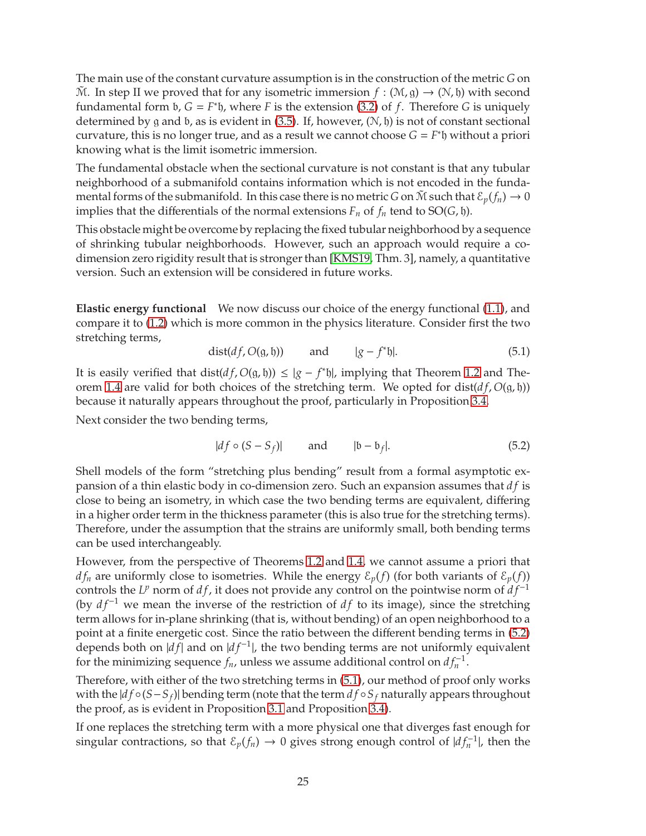<span id="page-24-2"></span>The main use of the constant curvature assumption is in the construction of the metric *G* on  $\mathcal{M}$ . In step II we proved that for any isometric immersion  $f : (\mathcal{M}, g) \to (\mathcal{N}, h)$  with second fundamental form b, *G* = *F* ∗ h, where *F* is the extension [\(3.2\)](#page-10-1) of *f*. Therefore *G* is uniquely determined by g and b, as is evident in [\(3.5\)](#page-12-2). If, however,  $(N, \mathfrak{h})$  is not of constant sectional curvature, this is no longer true, and as a result we cannot choose  $G = F^*$ h without a priori knowing what is the limit isometric immersion.

The fundamental obstacle when the sectional curvature is not constant is that any tubular neighborhood of a submanifold contains information which is not encoded in the fundamental forms of the submanifold. In this case there is no metric *G* on  $\tilde{M}$  such that  $\mathcal{E}_p(f_n) \to 0$ implies that the differentials of the normal extensions  $F_n$  of  $f_n$  tend to  $SO(G, \mathfrak{h})$ .

This obstacle might be overcome by replacing the fixed tubular neighborhood by a sequence of shrinking tubular neighborhoods. However, such an approach would require a codimension zero rigidity result that is stronger than [\[KMS19,](#page-31-9) Thm. 3], namely, a quantitative version. Such an extension will be considered in future works.

**Elastic energy functional** We now discuss our choice of the energy functional [\(1.1\)](#page-1-1), and compare it to [\(1.2\)](#page-1-0) which is more common in the physics literature. Consider first the two stretching terms,

<span id="page-24-1"></span>
$$
dist(df, O(g, \mathfrak{h})) \qquad \text{and} \qquad |g - f^* \mathfrak{h}|. \tag{5.1}
$$

It is easily verified that dist( $df$ ,  $O(g, h)$ )  $\leq |g - f^*h|$ , implying that Theorem [1.2](#page-2-0) and The-orem [1.4](#page-2-2) are valid for both choices of the stretching term. We opted for dist( $df$ ,  $O(g, \mathfrak{h})$ ) because it naturally appears throughout the proof, particularly in Proposition [3.4.](#page-13-1)

Next consider the two bending terms,

<span id="page-24-0"></span>
$$
|df \circ (S - S_f)| \qquad \text{and} \qquad |b - b_f|. \tag{5.2}
$$

Shell models of the form "stretching plus bending" result from a formal asymptotic expansion of a thin elastic body in co-dimension zero. Such an expansion assumes that *d f* is close to being an isometry, in which case the two bending terms are equivalent, differing in a higher order term in the thickness parameter (this is also true for the stretching terms). Therefore, under the assumption that the strains are uniformly small, both bending terms can be used interchangeably.

However, from the perspective of Theorems [1.2](#page-2-0) and [1.4,](#page-2-2) we cannot assume a priori that  $df_n$  are uniformly close to isometries. While the energy  $\mathcal{E}_p(f)$  (for both variants of  $\mathcal{E}_p(f)$ ) *c*ontrols the *L<sup>p</sup>* norm of *df*, it does not provide any control on the pointwise norm of *df*<sup>-1</sup> (by  $df^{-1}$  we mean the inverse of the restriction of  $df$  to its image), since the stretching term allows for in-plane shrinking (that is, without bending) of an open neighborhood to a point at a finite energetic cost. Since the ratio between the different bending terms in [\(5.2\)](#page-24-0) depends both on |*df*| and on |*df*<sup>−1</sup>|, the two bending terms are not uniformly equivalent for the minimizing sequence  $f_n$ , unless we assume additional control on  $df_n^{-1}$ .

Therefore, with either of the two stretching terms in [\(5.1\)](#page-24-1), our method of proof only works with the |*d f* ◦(*S*−*S<sup>f</sup>* )| bending term (note that the term *d f* ◦*S<sup>f</sup>* naturally appears throughout the proof, as is evident in Proposition [3.1](#page-10-3) and Proposition [3.4\)](#page-13-1).

If one replaces the stretching term with a more physical one that diverges fast enough for singular contractions, so that  $\mathcal{E}_p(f_n) \to 0$  gives strong enough control of  $|df_n^{-1}|$ , then the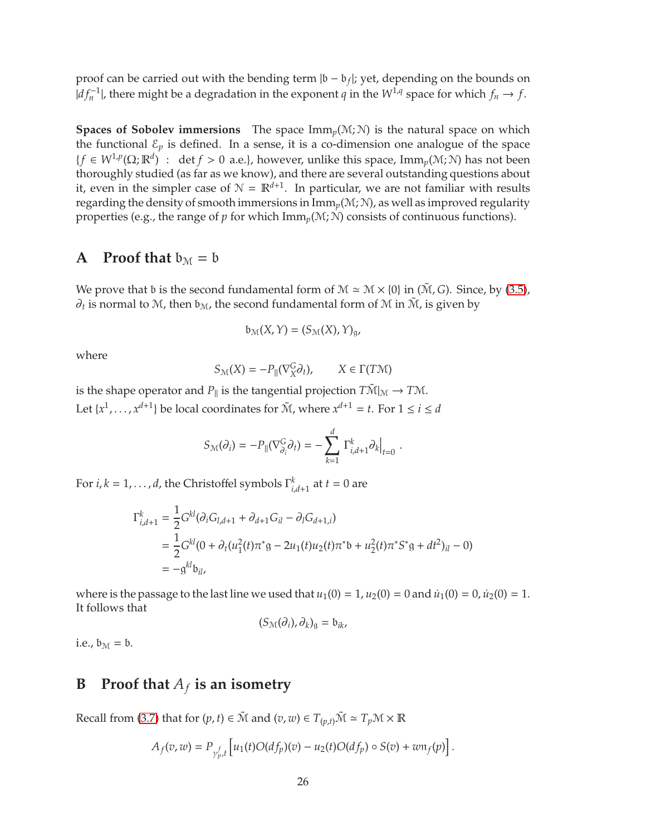proof can be carried out with the bending term |b − b*<sup>f</sup>* |; yet, depending on the bounds on  $|df_n^{-1}|$ , there might be a degradation in the exponent *q* in the  $W^{1,q}$  space for which  $f_n \to f$ .

**Spaces of Sobolev immersions** The space  $\text{Imm}_p(\mathcal{M}; \mathcal{N})$  is the natural space on which the functional  $\mathcal{E}_p$  is defined. In a sense, it is a co-dimension one analogue of the space  ${f ∈ W<sup>1,p</sup>(Ω; ℝ<sup>d</sup>) : det *f* > 0 a.e.}, however, unlike this space, Imm<sub>p</sub>(M;N) has not been$ thoroughly studied (as far as we know), and there are several outstanding questions about it, even in the simpler case of  $\mathcal{N} = \mathbb{R}^{d+1}$ . In particular, we are not familiar with results regarding the density of smooth immersions in Imm*p*(M; N), as well as improved regularity properties (e.g., the range of *p* for which  $\text{Imm}_p(\mathcal{M}; \mathcal{N})$  consists of continuous functions).

## <span id="page-25-0"></span>**A** Proof that  $b_M = b$

We prove that b is the second fundamental form of  $M \simeq M \times \{0\}$  in ( $\tilde{M}$ , *G*). Since, by [\(3.5\)](#page-12-2),  $\partial_t$  is normal to M, then  $\mathfrak{b}_\mathfrak{M}$ , the second fundamental form of M in  $\tilde{\mathfrak{M}}$ , is given by

$$
\mathfrak{b}_{\mathcal{M}}(X,Y)=(S_{\mathcal{M}}(X),Y)_{\mathfrak{g}}
$$

where

$$
S_{\mathcal{M}}(X) = -P_{\parallel}(\nabla^G_X \partial_t), \qquad X \in \Gamma(T\mathcal{M})
$$

is the shape operator and  $P_{\parallel}$  is the tangential projection  $T\tilde{\mathcal{M}}|_{\mathcal{M}} \to T\mathcal{M}$ . Let  $\{x^1, \ldots, x^{d+1}\}$  be local coordinates for  $\tilde{M}$ , where  $x^{d+1} = t$ . For  $1 \le i \le d$ 

$$
S_{\mathcal{M}}(\partial_i) = -P_{\parallel}(\nabla^G_{\partial_i}\partial_t) = -\sum_{k=1}^d \left. \Gamma^k_{i,d+1}\partial_k \right|_{t=0}.
$$

For  $i, k = 1, ..., d$ , the Christoffel symbols  $\Gamma_{i, d+1}^k$  at  $t = 0$  are

$$
\Gamma_{i,d+1}^k = \frac{1}{2} G^{kl} (\partial_i G_{l,d+1} + \partial_{d+1} G_{il} - \partial_l G_{d+1,i})
$$
  
= 
$$
\frac{1}{2} G^{kl} (0 + \partial_t (u_1^2(t) \pi^* g - 2u_1(t)u_2(t) \pi^* b + u_2^2(t) \pi^* S^* g + dt^2)_{il} - 0)
$$
  
= 
$$
-g^{kl} b_{il},
$$

where is the passage to the last line we used that  $u_1(0) = 1$ ,  $u_2(0) = 0$  and  $u_1(0) = 0$ ,  $u_2(0) = 1$ . It follows that

$$
(S_{\mathcal{M}}(\partial_i),\partial_k)_{\mathfrak{g}}=\mathfrak{b}_{ik},
$$

<span id="page-25-1"></span>i.e.,  $b_M = b$ .

### **B** Proof that  $A_f$  is an isometry

Recall from [\(3.7\)](#page-12-1) that for  $(p, t) \in \tilde{M}$  and  $(v, w) \in T_{(p,t)}\tilde{M} \simeq T_p \mathcal{M} \times \mathbb{R}$ 

$$
A_f(v,w)=P_{\gamma_{p}^f,t}\left[u_1(t)O(df_p)(v)-u_2(t)O(df_p)\circ S(v)+w\mathfrak{n}_f(p)\right].
$$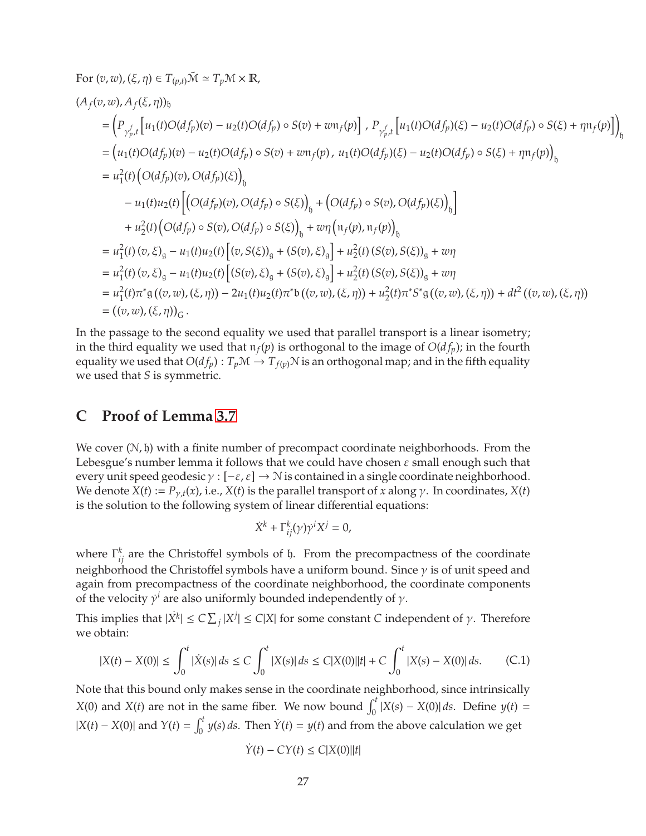For 
$$
(v, w)
$$
,  $(\xi, \eta) \in T_{(p,t)}\tilde{M} \simeq T_p \tilde{M} \times \mathbb{R}$ ,  
\n
$$
(A_f(v, w), A_f(\xi, \eta))_b
$$
\n
$$
= \left( P_{\gamma_{p,t}^f} \left[ u_1(t)O(df_p)(v) - u_2(t)O(df_p) \circ S(v) + w u_f(p) \right], P_{\gamma_{p,t}^f} \left[ u_1(t)O(df_p)(\xi) - u_2(t)O(df_p) \circ S(\xi) + \eta u_f(p) \right] \right)_{\mathfrak{h}}
$$
\n
$$
= \left( u_1(t)O(df_p)(v) - u_2(t)O(df_p) \circ S(v) + w u_f(p), u_1(t)O(df_p)(\xi) - u_2(t)O(df_p) \circ S(\xi) + \eta u_f(p) \right)_{\mathfrak{h}}
$$
\n
$$
= u_1^2(t) \left( O(df_p)(v), O(df_p)(\xi) \right)_{\mathfrak{h}}
$$
\n
$$
- u_1(t)u_2(t) \left[ \left( O(df_p)(v), O(df_p) \circ S(\xi) \right)_{\mathfrak{h}} + \left( O(df_p) \circ S(v), O(df_p)(\xi) \right)_{\mathfrak{h}} \right]
$$
\n
$$
+ u_2^2(t) \left( O(df_p) \circ S(v), O(df_p) \circ S(\xi) \right)_{\mathfrak{h}} + w_1 \left( u_f(p), u_f(p) \right)_{\mathfrak{h}}
$$
\n
$$
= u_1^2(t) (v, \xi)_{\mathfrak{g}} - u_1(t)u_2(t) \left[ \left( v, S(\xi) \right)_{\mathfrak{g}} + \left( S(v), \xi \right)_{\mathfrak{g}} \right] + u_2^2(t) \left( S(v), S(\xi) \right)_{\mathfrak{g}} + w_1
$$
\n
$$
= u_1^2(t) (v, \xi)_{\mathfrak{g}} - u_1(t)u_2(t) \left[ \left( S(v), \xi \right)_{\mathfrak{g}} + \left( S(v), \xi \right)_{\mathfrak{g}} \right] + u_2^2(t) \left( S(v), S(\xi) \right)_{\mathfrak{g}} + w_1
$$
\n
$$
= u_1^2(t)
$$

In the passage to the second equality we used that parallel transport is a linear isometry; in the third equality we used that  $\pi_f(p)$  is orthogonal to the image of  $O(d_{fp})$ ; in the fourth equality we used that  $O(df_p): T_p\mathcal{M} \to T_{f(p)}\mathcal{N}$  is an orthogonal map; and in the fifth equality we used that *S* is symmetric.

### <span id="page-26-0"></span>**C Proof of Lemma [3.7](#page-17-0)**

We cover  $(N, \mathfrak{h})$  with a finite number of precompact coordinate neighborhoods. From the Lebesgue's number lemma it follows that we could have chosen  $\varepsilon$  small enough such that every unit speed geodesic  $\gamma : [-\varepsilon, \varepsilon] \to \mathcal{N}$  is contained in a single coordinate neighborhood. We denote  $X(t) := P_{\gamma,t}(x)$ , i.e.,  $X(t)$  is the parallel transport of *x* along  $\gamma$ . In coordinates,  $X(t)$ is the solution to the following system of linear differential equations:

$$
\dot{X}^k + \Gamma^k_{ij}(\gamma) \dot{\gamma}^i X^j = 0,
$$

where  $\Gamma_{ij}^k$  are the Christoffel symbols of  $\mathfrak h$ . From the precompactness of the coordinate neighborhood the Christoffel symbols have a uniform bound. Since  $\gamma$  is of unit speed and again from precompactness of the coordinate neighborhood, the coordinate components of the velocity  $\gamma^i$  are also uniformly bounded independently of  $\gamma$ .

This implies that  $|\dot{X}^k| \leq C \sum_j |X^j| \leq C|X|$  for some constant *C* independent of  $\gamma$ . Therefore we obtain:

<span id="page-26-1"></span>
$$
|X(t) - X(0)| \le \int_0^t |\dot{X}(s)| \, ds \le C \int_0^t |X(s)| \, ds \le C|X(0)| |t| + C \int_0^t |X(s) - X(0)| \, ds. \tag{C.1}
$$

Note that this bound only makes sense in the coordinate neighborhood, since intrinsically *X*(0) and *X*(*t*) are not in the same fiber. We now bound  $\int_0^t |X(s) - X(0)| ds$ . Define *y*(*t*) =  $|X(t) - X(0)|$  and  $Y(t) = \int_0^t y(s) ds$ . Then  $\dot{Y}(t) = y(t)$  and from the above calculation we get

$$
\dot{Y}(t)-CY(t)\leq C|X(0)||t|
$$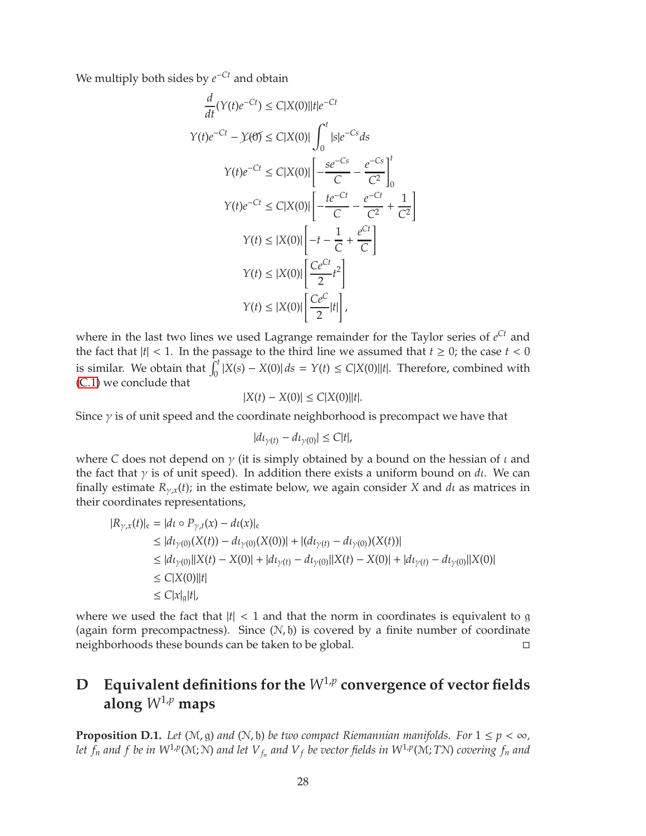We multiply both sides by *e* <sup>−</sup>*Ct* and obtain

$$
\frac{d}{dt}(Y(t)e^{-Ct}) \le C|X(0)||t|e^{-Ct}
$$
\n
$$
Y(t)e^{-Ct} - \mathcal{Y}(\theta) \le C|X(0)| \int_0^t |s|e^{-Cs} ds
$$
\n
$$
Y(t)e^{-Ct} \le C|X(0)| \left[ -\frac{se^{-Cs}}{C} - \frac{e^{-Cs}}{C^2} \right]_0^t
$$
\n
$$
Y(t)e^{-Ct} \le C|X(0)| \left[ -\frac{te^{-Ct}}{C} - \frac{e^{-Ct}}{C^2} + \frac{1}{C^2} \right]
$$
\n
$$
Y(t) \le |X(0)| \left[ -t - \frac{1}{C} + \frac{e^{Ct}}{C} \right]
$$
\n
$$
Y(t) \le |X(0)| \left[ \frac{Ce^{Ct}}{2} t^2 \right]
$$
\n
$$
Y(t) \le |X(0)| \left[ \frac{Ce^C}{2} t^2 \right]
$$
\n
$$
Y(t) \le |X(0)| \left[ \frac{Ce^C}{2} |t| \right],
$$

where in the last two lines we used Lagrange remainder for the Taylor series of *e Ct* and the fact that  $|t| < 1$ . In the passage to the third line we assumed that  $t \ge 0$ ; the case  $t < 0$ is similar. We obtain that  $\int_0^t |X(s) - X(0)| ds = Y(t) \le C|X(0)||t|$ . Therefore, combined with [\(C.1\)](#page-26-1) we conclude that

$$
|X(t) - X(0)| \le C|X(0)||t|.
$$

Since  $\gamma$  is of unit speed and the coordinate neighborhood is precompact we have that

$$
|dt_{\gamma(t)}-dt_{\gamma(0)}|\leq C|t|,
$$

where *C* does not depend on  $\gamma$  (it is simply obtained by a bound on the hessian of  $\iota$  and the fact that  $\gamma$  is of unit speed). In addition there exists a uniform bound on *d*<sub>*i*</sub>. We can finally estimate  $R_{\gamma,x}(t)$ ; in the estimate below, we again consider *X* and *d*<sup>*l*</sup> as matrices in their coordinates representations,

$$
|R_{\gamma,x}(t)|_{e} = |dt \circ P_{\gamma,t}(x) - dt(x)|_{e}
$$
  
\n
$$
\leq |dt_{\gamma(0)}(X(t)) - dt_{\gamma(0)}(X(0))| + |(dt_{\gamma(t)} - dt_{\gamma(0)})(X(t))|
$$
  
\n
$$
\leq |dt_{\gamma(0)}||X(t) - X(0)| + |dt_{\gamma(t)} - dt_{\gamma(0)}||X(t) - X(0)| + |dt_{\gamma(t)} - dt_{\gamma(0)}||X(0)|
$$
  
\n
$$
\leq C|X(0)||t|
$$
  
\n
$$
\leq C|x|_{g}|t|,
$$

where we used the fact that  $|t| < 1$  and that the norm in coordinates is equivalent to g (again form precompactness). Since  $(N, \mathfrak{h})$  is covered by a finite number of coordinate neighborhoods these bounds can be taken to be global.

# <span id="page-27-1"></span> $\mathbf{D}$   $\mathbf{Equivalent}$  definitions for the  $W^{1,p}$  convergence of vector fields along  $W^{1,p}$  maps

<span id="page-27-0"></span>**Proposition D.1.** *Let* ( $M$ ,  $g$ ) *and* ( $N$ ,  $b$ ) *be two compact Riemannian manifolds. For*  $1 \leq p < \infty$ , let  $f_n$  and  $f$  be in  $W^{1,p}(\mathcal{M}; \mathcal{N})$  and let  $V_{f_n}$  and  $V_f$  be vector fields in  $W^{1,p}(\mathcal{M}; T\mathcal{N})$  covering  $f_n$  and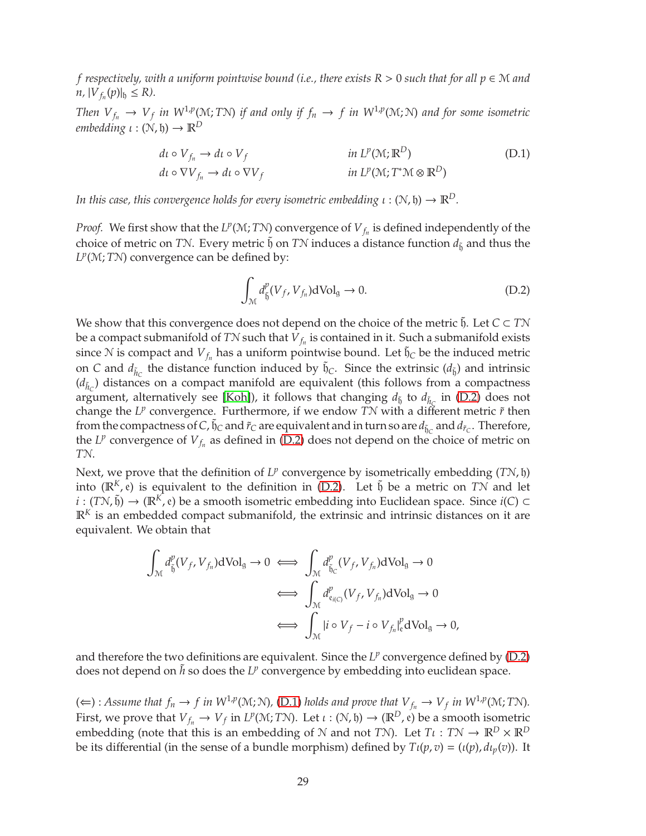<span id="page-28-2"></span>*f respectively, with a uniform pointwise bound (i.e., there exists R* <sup>&</sup>gt; <sup>0</sup> *such that for all p* <sup>∈</sup> <sup>M</sup> *and*  $n, |V_{f_n}(p)|_0 \le R$ .

*Then*  $V_{f_n} \to V_f$  *in*  $W^{1,p}(M;T)$  *if and only if*  $f_n \to f$  *in*  $W^{1,p}(M;N)$  *and for some isometric embedding*  $\iota : (\mathcal{N}, \mathfrak{h}) \to \mathbb{R}^D$ 

$$
d\iota \circ V_{f_n} \to d\iota \circ V_f \qquad \qquad in \ L^p(\mathcal{M}; \mathbb{R}^D) \tag{D.1}
$$
  

$$
d\iota \circ \nabla V_{f_n} \to d\iota \circ \nabla V_f \qquad \qquad in \ L^p(\mathcal{M}; T^*\mathcal{M} \otimes \mathbb{R}^D)
$$

*In this case, this convergence holds for every isometric embedding*  $\iota : (N, \mathfrak{h}) \to \mathbb{R}^D$ *.* 

*Proof.* We first show that the  $L^p(\mathcal{M}; T\mathcal{N})$  convergence of  $V_{f_n}$  is defined independently of the choice of metric on *TN*. Every metric  $\tilde{\mathfrak{h}}$  on *TN* induces a distance function  $d_{\tilde{\mathfrak{h}}}$  and thus the L<sup>P</sup>(M; TN) convergence can be defined by:

<span id="page-28-1"></span><span id="page-28-0"></span>
$$
\int_{\mathcal{M}} d_{\tilde{\mathfrak{h}}}^{p}(V_{f}, V_{f_n}) \, d\mathrm{Vol}_{\mathfrak{g}} \to 0. \tag{D.2}
$$

We show that this convergence does not depend on the choice of the metric  $\mathfrak{h}$ . Let  $C \subset T\mathcal{N}$ be a compact submanifold of  $T\mathcal{N}$  such that  $\bar{V}_{f_n}$  is contained in it. Such a submanifold exists since  $N$  is compact and  $V_{f_n}$  has a uniform pointwise bound. Let  $\tilde{\mathfrak{h}}_C$  be the induced metric on *C* and  $d_{\tilde{h}_C}$  the distance function induced by  $\tilde{h}_C$ . Since the extrinsic  $(d_{\tilde{b}})$  and intrinsic  $(d_{\tilde{h}_c})$  distances on a compact manifold are equivalent (this follows from a compactness argument, alternatively see [\[Koh\]](#page-31-17)), it follows that changing  $d_{\tilde{b}}$  to  $d_{\tilde{h}_C}$  in [\(D.2\)](#page-28-0) does not change the  $L^p$  convergence. Furthermore, if we endow  $T\mathcal{N}$  with a different metric  $\tilde{r}$  then from the compactness of  $C$ ,  $\tilde{\mathfrak{h}}_C$  and  $\tilde{r}_C$  are equivalent and in turn so are  $d_{\tilde{\mathfrak{h}}_C}$  and  $d_{\tilde{r}_C}$ . Therefore, the  $L^p$  convergence of  $V_{f_n}$  as defined in [\(D.2\)](#page-28-0) does not depend on the choice of metric on *T*N.

Next, we prove that the definition of  $L^p$  convergence by isometrically embedding (*TN*, h) into  $(\mathbb{R}^K, e)$  is equivalent to the definition in [\(D.2\)](#page-28-0). Let  $\tilde{b}$  be a metric on *TN* and let *i* : (*T*N,  $\tilde{b}$ ) → ( $\mathbb{R}^K$ , e) be a smooth isometric embedding into Euclidean space. Since *i*(*C*) ⊂  $\mathbb{R}^K$  is an embedded compact submanifold, the extrinsic and intrinsic distances on it are equivalent. We obtain that

$$
\int_{\mathcal{M}} d_{\tilde{b}}^{p}(V_{f}, V_{f_{n}}) dVol_{g} \to 0 \iff \int_{\mathcal{M}} d_{\tilde{b}_{C}}^{p}(V_{f}, V_{f_{n}}) dVol_{g} \to 0
$$
\n
$$
\iff \int_{\mathcal{M}} d_{e_{i(C)}}^{p}(V_{f}, V_{f_{n}}) dVol_{g} \to 0
$$
\n
$$
\iff \int_{\mathcal{M}} |i \circ V_{f} - i \circ V_{f_{n}}|_{e}^{p} dVol_{g} \to 0,
$$

and therefore the two definitions are equivalent. Since the  $L^p$  convergence defined by  $(D.2)$ does not depend on  $\tilde{h}$  so does the  $L^p$  convergence by embedding into euclidean space.

(∈): *Assume that*  $f_n$  →  $f$  *in*  $W^{1,p}(M;N)$ , [\(D.1\)](#page-28-1) *holds and prove that*  $V_{f_n}$  →  $V_f$  *in*  $W^{1,p}(M;TN)$ . First, we prove that  $V_{f_n} \to V_f$  in  $L^p(\mathcal{M}; T\mathcal{N})$ . Let  $\iota : (\mathcal{N}, \mathfrak{h}) \to (\mathbb{R}^D, \mathfrak{e})$  be a smooth isometric embedding (note that this is an embedding of  $N$  and not *TN*). Let  $T\iota : T N \to \mathbb{R}^D \times \mathbb{R}^D$ be its differential (in the sense of a bundle morphism) defined by  $T\iota(p,v) = (\iota(p), d\iota_p(v))$ . It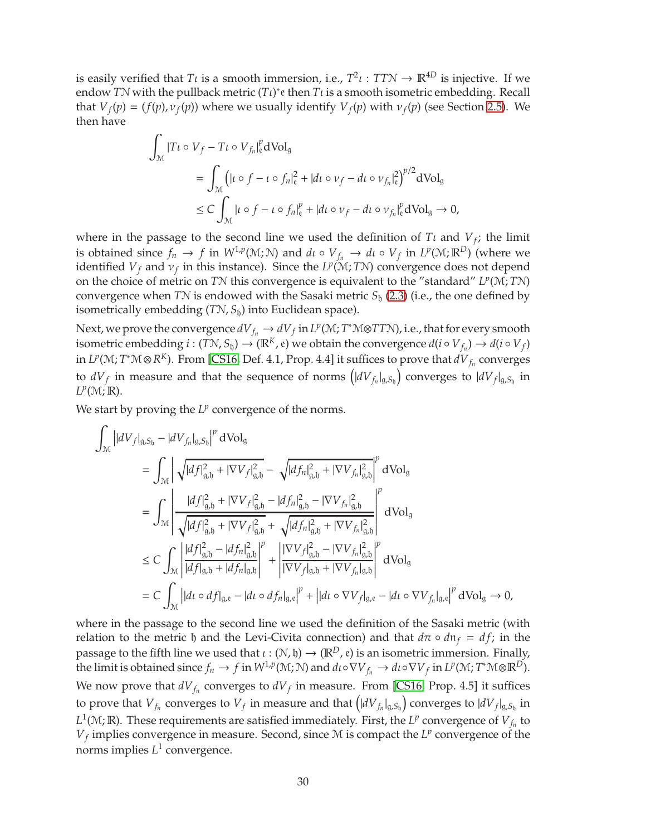<span id="page-29-0"></span>is easily verified that *T*<sub>*l*</sub> is a smooth immersion, i.e.,  $T^2\iota : TTN \to \mathbb{R}^{4D}$  is injective. If we endow *TN* with the pullback metric  $(T_l)^*$ e then  $T_l$  is a smooth isometric embedding. Recall that  $V_f(p) = (f(p), v_f(p))$  where we usually identify  $V_f(p)$  with  $v_f(p)$  (see Section [2.5\)](#page-8-0). We then have

$$
\int_{\mathcal{M}} |T\iota \circ V_f - T\iota \circ V_{f_n}|_{\varepsilon}^p \mathrm{dVol}_g
$$
\n
$$
= \int_{\mathcal{M}} \left( | \iota \circ f - \iota \circ f_n |_{\varepsilon}^2 + | \mathrm{d} \iota \circ \nu_f - \mathrm{d} \iota \circ \nu_{f_n} |_{\varepsilon}^2 \right)^{p/2} \mathrm{dVol}_g
$$
\n
$$
\leq C \int_{\mathcal{M}} | \iota \circ f - \iota \circ f_n |_{\varepsilon}^p + | \mathrm{d} \iota \circ \nu_f - \mathrm{d} \iota \circ \nu_{f_n} |_{\varepsilon}^p \mathrm{dVol}_g \to 0,
$$

where in the passage to the second line we used the definition of  $T\iota$  and  $V_f$ ; the limit is obtained since  $f_n \to f$  in  $W^{1,p}(\mathcal{M}; \mathcal{N})$  and  $d_l \circ V_{f_n} \to d_l \circ V_f$  in  $L^p(\mathcal{M}; \mathbb{R}^D)$  (where we identified  $V_f$  and  $v_f$  in this instance). Since the  $L^p(\mathcal{M};T\mathcal{N})$  convergence does not depend on the choice of metric on *T*N this convergence is equivalent to the "standard" *L p* (M; *T*N) convergence when *TN* is endowed with the Sasaki metric  $S_h$  [\(2.3\)](#page-8-2) (i.e., the one defined by isometrically embedding (*T*N, *S*h) into Euclidean space).

Next, we prove the convergence  $dV_{f_n} \to dV_f$  in  $L^p(\mathcal{M}; T^*\mathcal{M} \otimes TT\mathcal{N})$ , i.e., that for every smooth isometric embedding  $i:(T\mathcal{N}, S_{\mathfrak{h}}) \to (\mathbb{R}^K, \mathfrak{e})$  we obtain the convergence  $d(i \circ V_{f_n}) \to d(i \circ V_f)$ in  $L^p(\mathcal{M}; T^*\mathcal{M}\otimes R^K)$ . From [\[CS16,](#page-30-7) Def. 4.1, Prop. 4.4] it suffices to prove that  $dV_{f_n}$  converges to  $dV_f$  in measure and that the sequence of norms  $\left(|dV_{f_n}|_{g,S_{\mathfrak{h}}}\right)$  converges to  $|dV_f|_{g,S_{\mathfrak{h}}}$  in *L p* (M; R).

We start by proving the  $L^p$  convergence of the norms.

$$
\int_{\mathcal{M}} \left| dV_{f} \right|_{g, S_{b}} - |dV_{f_{n}}|_{g, S_{b}} \right|^{p} dVol_{g}
$$
\n
$$
= \int_{\mathcal{M}} \left| \sqrt{|df|_{g, b}^{2} + |\nabla V_{f}|_{g, b}^{2}} - \sqrt{|df_{n}|_{g, b}^{2} + |\nabla V_{f_{n}}|_{g, b}^{2}} \right|^{p} dVol_{g}
$$
\n
$$
= \int_{\mathcal{M}} \left| \frac{|df|_{g, b}^{2} + |\nabla V_{f}|_{g, b}^{2} - |df_{n}|_{g, b}^{2} - |\nabla V_{f_{n}}|_{g, b}^{2}}{\sqrt{|df|_{g, b}^{2} + |\nabla V_{f}|_{g, b}^{2}} + \sqrt{|df_{n}|_{g, b}^{2} + |\nabla V_{f_{n}}|_{g, b}^{2}} \right|^{p} dVol_{g}
$$
\n
$$
\leq C \int_{\mathcal{M}} \left| \frac{|df|_{g, b}^{2} - |df_{n}|_{g, b}^{2}}{|df|_{g, b}^{2} + |df_{n}|_{g, b}^{2}} \right|^{p} + \left| \frac{|\nabla V_{f}|_{g, b}^{2} - |\nabla V_{f_{n}}|_{g, b}^{2}}{|\nabla V_{f}|_{g, b} + |\nabla V_{f_{n}}|_{g, b}} \right|^{p} dVol_{g}
$$
\n
$$
= C \int_{\mathcal{M}} |dt \circ df_{g, e} - |dt \circ df_{n}|_{g, e} |^{p} + |dt \circ \nabla V_{f}|_{g, e} - |dt \circ \nabla V_{f_{n}}|_{g, e} |^{p} dVol_{g} \to 0,
$$

where in the passage to the second line we used the definition of the Sasaki metric (with relation to the metric  $\phi$  and the Levi-Civita connection) and that  $d\pi \circ d\mathfrak{n}_f = df$ ; in the passage to the fifth line we used that  $\iota : (\mathcal{N}, \mathfrak{h}) \to (\mathbb{R}^D, \mathfrak{e})$  is an isometric immersion. Finally, the limit is obtained since  $f_n \to f$  in  $W^{1,p}(\mathcal{M}; \mathcal{N})$  and  $d\iota \circ \nabla V_{f_n} \to d\iota \circ \nabla V_f$  in  $L^p(\mathcal{M}; T^*\mathcal{M} \otimes \mathbb{R}^D)$ . We now prove that  $dV_{f_n}$  converges to  $dV_f$  in measure. From [\[CS16,](#page-30-7) Prop. 4.5] it suffices to prove that  $V_{f_n}$  converges to  $V_f$  in measure and that  $\left(|dV_{f_n}|_{g,S_\mathfrak{h}}\right)$  converges to  $|dV_f|_{g,S_\mathfrak{h}}$  in  $L^1(\mathcal{M}; \mathbb{R})$ . These requirements are satisfied immediately. First, the  $L^p$  convergence of  $V_{f_n}$  to  $V_f$  implies convergence in measure. Second, since  $M$  is compact the  $L^p$  convergence of the norms implies *L* 1 convergence.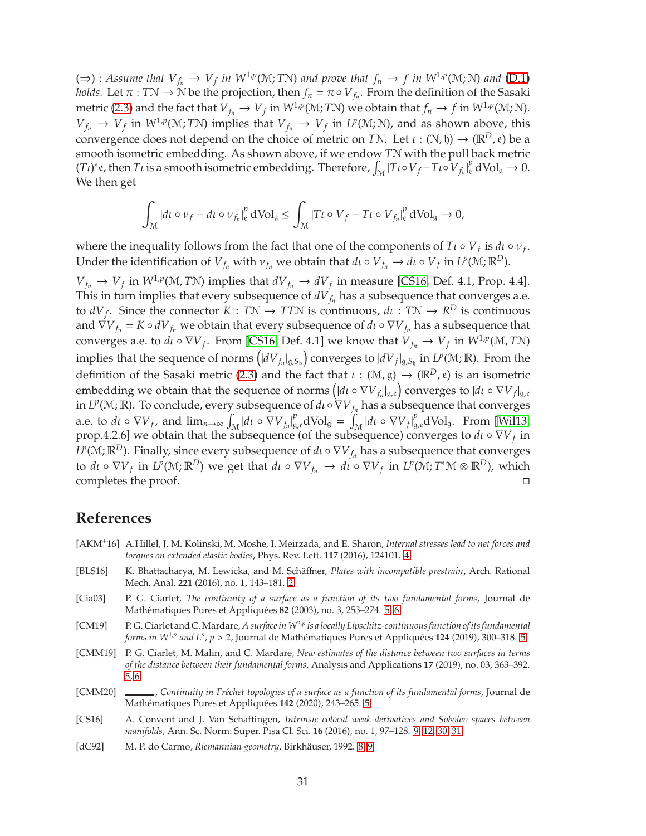<span id="page-30-8"></span>(⇒): *Assume that*  $V_{f_n}$  →  $V_f$  *in*  $W^{1,p}(M; T_N)$  *and prove that*  $f_n$  →  $f$  *in*  $W^{1,p}(M; N)$  *and* [\(D.1\)](#page-28-1) *holds.* Let  $\pi : T\mathcal{N} \to \mathcal{N}$  be the projection, then  $f_n = \pi \circ V_{f_n}$ . From the definition of the Sasaki metric [\(2.3\)](#page-8-2) and the fact that  $V_{f_n} \to V_f$  in  $W^{1,p}(\mathcal{M};T\mathcal{N})$  we obtain that  $f_n \to f$  in  $W^{1,p}(\mathcal{M};\mathcal{N})$ .  $V_{f_n} \to V_f$  in  $W^{1,p}(\mathcal{M}; T\mathcal{N})$  implies that  $V_{f_n} \to V_f$  in  $L^p(\mathcal{M}; \mathcal{N})$ , and as shown above, this convergence does not depend on the choice of metric on *TN*. Let  $\iota : (\mathcal{N}, \mathfrak{h}) \to (\mathbb{R}^D, \mathfrak{e})$  be a smooth isometric embedding. As shown above, if we endow *T*N with the pull back metric  $(Tt)^*$ e, then  $Tt$  is a smooth isometric embedding. Therefore,  $\int_M |Tt \circ V_f - Tt \circ V_{f_n}|_e^p dVol_g \to 0$ . We then get

$$
\int_{\mathcal{M}}\left|d\iota\circ\nu_{f}-d\iota\circ\nu_{f_{n}}\right|_{\mathfrak{e}}^{p}\mathrm{dVol}_{\mathfrak{g}}\leq\int_{\mathcal{M}}\left|T\iota\circ V_{f}-T\iota\circ V_{f_{n}}\right|_{\mathfrak{e}}^{p}\mathrm{dVol}_{\mathfrak{g}}\rightarrow0,
$$

where the inequality follows from the fact that one of the components of  $T\iota \circ V_f$  is  $d\iota \circ \nu_f$ . Under the identification of  $V_{f_n}$  with  $v_{f_n}$  we obtain that  $d\iota \circ V_{f_n} \to d\iota \circ V_f$  in  $L^p(\mathcal{M}; \mathbb{R}^D)$ .

 $V_{f_n} \to V_f$  in  $W^{1,p}(M,TN)$  implies that  $dV_{f_n} \to dV_f$  in measure [\[CS16,](#page-30-7) Def. 4.1, Prop. 4.4]. This in turn implies that every subsequence of  $dV_{f_n}$  has a subsequence that converges a.e. to  $dV_f$ . Since the connector  $K: T\mathcal{N} \to T T\mathcal{N}$  is continuous,  $d\iota : T\mathcal{N} \to R^D$  is continuous and  $\overline{\nabla}V_{f_n} = K \circ dV_{f_n}$  we obtain that every subsequence of  $d\iota \circ \nabla V_{f_n}$  has a subsequence that converges a.e. to  $d\iota \circ \nabla V_f$ . From [\[CS16,](#page-30-7) Def. 4.1] we know that  $V_{f_n} \to V_f$  in  $W^{1,p}(\mathcal{M}, T\mathcal{N})$ implies that the sequence of norms  $\left(|dV_{f_n}|_{g,S_{\mathfrak{h}}}\right)$  converges to  $|dV_{f}|_{g,S_{\mathfrak{h}}}$  in  $L^p(\mathfrak{M}; \mathbb{R})$ . From the definition of the Sasaki metric [\(2.3\)](#page-8-2) and the fact that  $\iota : (\mathcal{M}, g) \to (\mathbb{R}^D, e)$  is an isometric embedding we obtain that the sequence of norms  $\left(|d\iota\circ \nabla V_{f_n}|_{\mathfrak{g},\mathfrak{e}}\right)$  converges to  $|d\iota\circ \nabla V_{f}|_{\mathfrak{g},\mathfrak{e}}$ in *L<sup>p</sup>*(M; **R**). To conclude, every subsequence of  $d\iota \circ \nabla V_{f_n}$  has a subsequence that converges a.e. to  $d\iota \circ \nabla V_f$ , and  $\lim_{n\to\infty} \int_{\mathcal{M}} |d\iota \circ \nabla V_{f_n}|_{g,e}^p d\text{Vol}_g = \int_{\mathcal{M}} |d\iota \circ \nabla V_f|_{g,e}^p d\text{Vol}_g$ . From [\[Wil13,](#page-31-18) prop.4.2.6] we obtain that the subsequence (of the subsequence) converges to  $d\iota \circ \nabla V_f$  in  $L^p(\mathcal{M};\mathbb{R}^D)$ . Finally, since every subsequence of  $d\iota \circ \nabla V_{f_n}$  has a subsequence that converges to  $d\iota \circ \nabla V_f$  in  $L^p(\mathcal{M}; \mathbb{R}^D)$  we get that  $d\iota \circ \nabla V_{f_n} \to d\iota \circ \nabla V_f$  in  $L^p(\mathcal{M}; T^*\mathcal{M} \otimes \mathbb{R}^D)$ , which completes the proof.

### **References**

- <span id="page-30-1"></span>[AKM<sup>+</sup>16] A.Hillel, J. M. Kolinski, M. Moshe, I. Meirzada, and E. Sharon, *Internal stresses lead to net forces and torques on extended elastic bodies*, Phys. Rev. Lett. **117** (2016), 124101. [4](#page-3-0)
- <span id="page-30-0"></span>[BLS16] K. Bhattacharya, M. Lewicka, and M. Schäffner, *Plates with incompatible prestrain*, Arch. Rational Mech. Anal. **221** (2016), no. 1, 143–181. [2](#page-1-3)
- <span id="page-30-2"></span>[Cia03] P. G. Ciarlet, *The continuity of a surface as a function of its two fundamental forms*, Journal de Mathématiques Pures et Appliquées 82 (2003), no. 3, 253–274. [5,](#page-4-1) [6](#page-5-2)
- <span id="page-30-3"></span>[CM19] P. G. Ciarlet and C.Mardare, *A surface inW*<sup>2</sup>,*<sup>p</sup> is a locally Lipschitz-continuous function of its fundamental forms in W<sup>1,p</sup> and L<sup>p</sup>, p* > 2, Journal de Mathématiques Pures et Appliquées **124** (2019), 300–318. [5](#page-4-1)
- <span id="page-30-4"></span>[CMM19] P. G. Ciarlet, M. Malin, and C. Mardare, *New estimates of the distance between two surfaces in terms of the distance between their fundamental forms*, Analysis and Applications **17** (2019), no. 03, 363–392. [5,](#page-4-1) [6](#page-5-2)
- <span id="page-30-5"></span>[CMM20] \_\_\_\_\_\_, Continuity in Fréchet topologies of a surface as a function of its fundamental forms, Journal de Mathématiques Pures et Appliquées 142 (2020), 243-265. [5](#page-4-1)
- <span id="page-30-7"></span>[CS16] A. Convent and J. Van Schaftingen, *Intrinsic colocal weak derivatives and Sobolev spaces between manifolds*, Ann. Sc. Norm. Super. Pisa Cl. Sci. **16** (2016), no. 1, 97–128. [9,](#page-8-4) [12,](#page-11-0) [30,](#page-29-0) [31](#page-30-8)
- <span id="page-30-6"></span>[dC92] M. P. do Carmo, *Riemannian geometry*, Birkhäuser, 1992. [8,](#page-7-1) [9](#page-8-4)